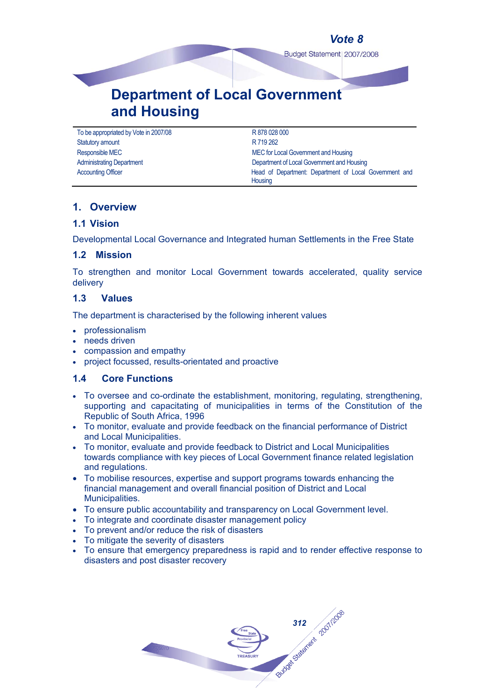## *Vote 8*

Budget Statement | 2007/2008

# **Department of Local Government and Housing**

To be appropriated by Vote in 2007/08 R 878 028 000 Statutory amount **R 719 262** 

Responsible MEC **MEC** for Local Government and Housing Administrating Department **Community** Department of Local Government and Housing Accounting Officer **Head of Department: Department of Local Government and Housing** 

## **1. Overview**

## **1.1 Vision**

Developmental Local Governance and Integrated human Settlements in the Free State

## **1.2 Mission**

To strengthen and monitor Local Government towards accelerated, quality service delivery

## **1.3 Values**

The department is characterised by the following inherent values

- professionalism
- needs driven
- compassion and empathy
- project focussed, results-orientated and proactive

## **1.4 Core Functions**

- To oversee and co-ordinate the establishment, monitoring, regulating, strengthening, supporting and capacitating of municipalities in terms of the Constitution of the Republic of South Africa, 1996
- To monitor, evaluate and provide feedback on the financial performance of District and Local Municipalities.
- To monitor, evaluate and provide feedback to District and Local Municipalities towards compliance with key pieces of Local Government finance related legislation and regulations.
- To mobilise resources, expertise and support programs towards enhancing the financial management and overall financial position of District and Local Municipalities.
- To ensure public accountability and transparency on Local Government level.
- To integrate and coordinate disaster management policy
- To prevent and/or reduce the risk of disasters
- To mitigate the severity of disasters
- To ensure that emergency preparedness is rapid and to render effective response to disasters and post disaster recovery

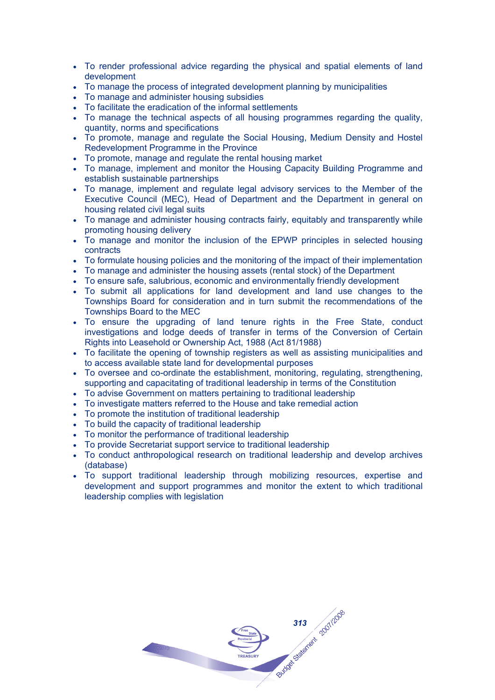- To render professional advice regarding the physical and spatial elements of land development
- To manage the process of integrated development planning by municipalities
- To manage and administer housing subsidies
- To facilitate the eradication of the informal settlements
- To manage the technical aspects of all housing programmes regarding the quality, quantity, norms and specifications
- To promote, manage and regulate the Social Housing, Medium Density and Hostel Redevelopment Programme in the Province
- To promote, manage and regulate the rental housing market
- To manage, implement and monitor the Housing Capacity Building Programme and establish sustainable partnerships
- To manage, implement and regulate legal advisory services to the Member of the Executive Council (MEC), Head of Department and the Department in general on housing related civil legal suits
- To manage and administer housing contracts fairly, equitably and transparently while promoting housing delivery
- To manage and monitor the inclusion of the EPWP principles in selected housing contracts
- To formulate housing policies and the monitoring of the impact of their implementation
- To manage and administer the housing assets (rental stock) of the Department
- To ensure safe, salubrious, economic and environmentally friendly development
- To submit all applications for land development and land use changes to the Townships Board for consideration and in turn submit the recommendations of the Townships Board to the MEC
- To ensure the upgrading of land tenure rights in the Free State, conduct investigations and lodge deeds of transfer in terms of the Conversion of Certain Rights into Leasehold or Ownership Act, 1988 (Act 81/1988)
- To facilitate the opening of township registers as well as assisting municipalities and to access available state land for developmental purposes
- To oversee and co-ordinate the establishment, monitoring, regulating, strengthening, supporting and capacitating of traditional leadership in terms of the Constitution
- To advise Government on matters pertaining to traditional leadership
- To investigate matters referred to the House and take remedial action
- To promote the institution of traditional leadership
- To build the capacity of traditional leadership
- To monitor the performance of traditional leadership
- To provide Secretariat support service to traditional leadership
- To conduct anthropological research on traditional leadership and develop archives (database)
- To support traditional leadership through mobilizing resources, expertise and development and support programmes and monitor the extent to which traditional leadership complies with legislation

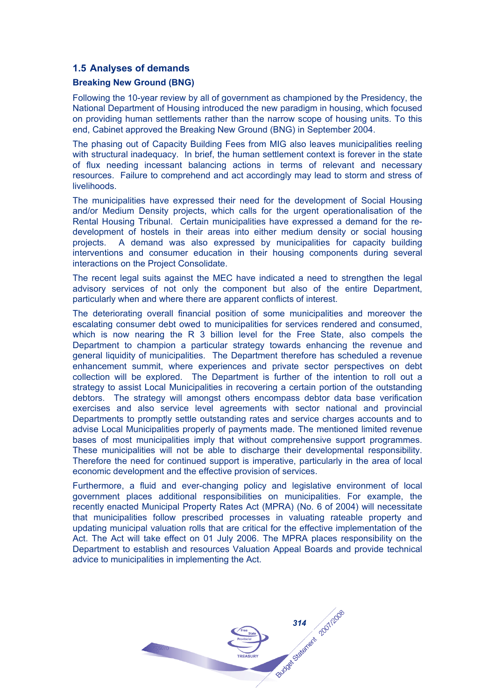## **1.5 Analyses of demands**

#### **Breaking New Ground (BNG)**

Following the 10-year review by all of government as championed by the Presidency, the National Department of Housing introduced the new paradigm in housing, which focused on providing human settlements rather than the narrow scope of housing units. To this end, Cabinet approved the Breaking New Ground (BNG) in September 2004.

The phasing out of Capacity Building Fees from MIG also leaves municipalities reeling with structural inadequacy. In brief, the human settlement context is forever in the state of flux needing incessant balancing actions in terms of relevant and necessary resources. Failure to comprehend and act accordingly may lead to storm and stress of livelihoods.

The municipalities have expressed their need for the development of Social Housing and/or Medium Density projects, which calls for the urgent operationalisation of the Rental Housing Tribunal. Certain municipalities have expressed a demand for the redevelopment of hostels in their areas into either medium density or social housing projects. A demand was also expressed by municipalities for capacity building interventions and consumer education in their housing components during several interactions on the Project Consolidate.

The recent legal suits against the MEC have indicated a need to strengthen the legal advisory services of not only the component but also of the entire Department, particularly when and where there are apparent conflicts of interest.

The deteriorating overall financial position of some municipalities and moreover the escalating consumer debt owed to municipalities for services rendered and consumed, which is now nearing the R 3 billion level for the Free State, also compels the Department to champion a particular strategy towards enhancing the revenue and general liquidity of municipalities. The Department therefore has scheduled a revenue enhancement summit, where experiences and private sector perspectives on debt collection will be explored. The Department is further of the intention to roll out a strategy to assist Local Municipalities in recovering a certain portion of the outstanding debtors. The strategy will amongst others encompass debtor data base verification exercises and also service level agreements with sector national and provincial Departments to promptly settle outstanding rates and service charges accounts and to advise Local Municipalities properly of payments made. The mentioned limited revenue bases of most municipalities imply that without comprehensive support programmes. These municipalities will not be able to discharge their developmental responsibility. Therefore the need for continued support is imperative, particularly in the area of local economic development and the effective provision of services.

Furthermore, a fluid and ever-changing policy and legislative environment of local government places additional responsibilities on municipalities. For example, the recently enacted Municipal Property Rates Act (MPRA) (No. 6 of 2004) will necessitate that municipalities follow prescribed processes in valuating rateable property and updating municipal valuation rolls that are critical for the effective implementation of the Act. The Act will take effect on 01 July 2006. The MPRA places responsibility on the Department to establish and resources Valuation Appeal Boards and provide technical advice to municipalities in implementing the Act.

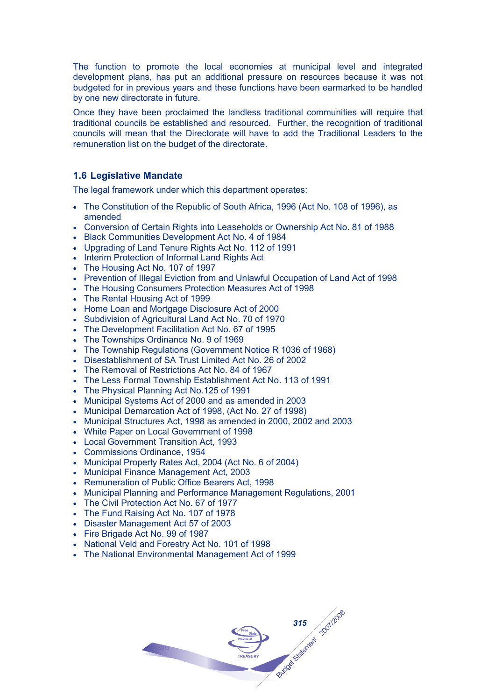The function to promote the local economies at municipal level and integrated development plans, has put an additional pressure on resources because it was not budgeted for in previous years and these functions have been earmarked to be handled by one new directorate in future.

Once they have been proclaimed the landless traditional communities will require that traditional councils be established and resourced. Further, the recognition of traditional councils will mean that the Directorate will have to add the Traditional Leaders to the remuneration list on the budget of the directorate.

## **1.6 Legislative Mandate**

The legal framework under which this department operates:

- The Constitution of the Republic of South Africa, 1996 (Act No. 108 of 1996), as amended
- Conversion of Certain Rights into Leaseholds or Ownership Act No. 81 of 1988
- Black Communities Development Act No. 4 of 1984
- Upgrading of Land Tenure Rights Act No. 112 of 1991
- Interim Protection of Informal Land Rights Act
- The Housing Act No. 107 of 1997
- Prevention of Illegal Eviction from and Unlawful Occupation of Land Act of 1998
- The Housing Consumers Protection Measures Act of 1998
- The Rental Housing Act of 1999
- Home Loan and Mortgage Disclosure Act of 2000
- Subdivision of Agricultural Land Act No. 70 of 1970
- The Development Facilitation Act No. 67 of 1995
- The Townships Ordinance No. 9 of 1969
- The Township Regulations (Government Notice R 1036 of 1968)
- Disestablishment of SA Trust Limited Act No. 26 of 2002
- The Removal of Restrictions Act No. 84 of 1967
- The Less Formal Township Establishment Act No. 113 of 1991
- The Physical Planning Act No.125 of 1991
- Municipal Systems Act of 2000 and as amended in 2003
- Municipal Demarcation Act of 1998, (Act No. 27 of 1998)
- Municipal Structures Act, 1998 as amended in 2000, 2002 and 2003
- White Paper on Local Government of 1998
- Local Government Transition Act, 1993
- Commissions Ordinance, 1954
- Municipal Property Rates Act, 2004 (Act No. 6 of 2004)
- Municipal Finance Management Act, 2003
- Remuneration of Public Office Bearers Act, 1998
- Municipal Planning and Performance Management Regulations, 2001
- The Civil Protection Act No. 67 of 1977
- The Fund Raising Act No. 107 of 1978
- Disaster Management Act 57 of 2003
- Fire Brigade Act No. 99 of 1987
- National Veld and Forestry Act No. 101 of 1998
- The National Environmental Management Act of 1999

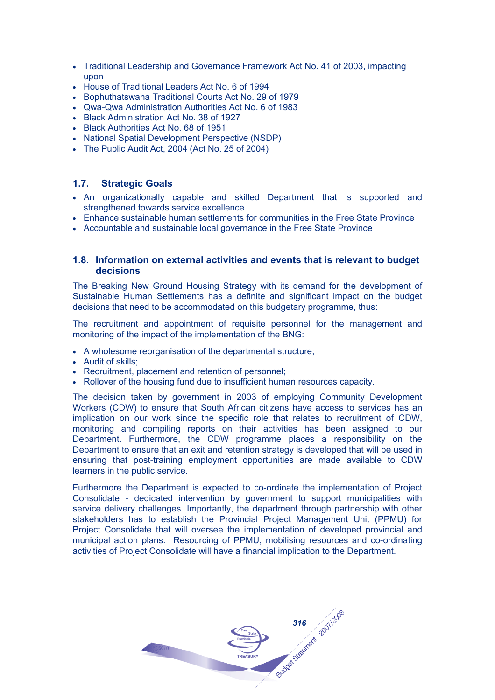- Traditional Leadership and Governance Framework Act No. 41 of 2003, impacting upon
- House of Traditional Leaders Act No. 6 of 1994
- Bophuthatswana Traditional Courts Act No. 29 of 1979
- Qwa-Qwa Administration Authorities Act No. 6 of 1983
- Black Administration Act No. 38 of 1927
- Black Authorities Act No. 68 of 1951
- National Spatial Development Perspective (NSDP)
- The Public Audit Act, 2004 (Act No. 25 of 2004)

## **1.7. Strategic Goals**

- An organizationally capable and skilled Department that is supported and strengthened towards service excellence
- Enhance sustainable human settlements for communities in the Free State Province
- Accountable and sustainable local governance in the Free State Province

## **1.8. Information on external activities and events that is relevant to budget decisions**

The Breaking New Ground Housing Strategy with its demand for the development of Sustainable Human Settlements has a definite and significant impact on the budget decisions that need to be accommodated on this budgetary programme, thus:

The recruitment and appointment of requisite personnel for the management and monitoring of the impact of the implementation of the BNG:

- A wholesome reorganisation of the departmental structure;
- Audit of skills;
- Recruitment, placement and retention of personnel;
- Rollover of the housing fund due to insufficient human resources capacity.

The decision taken by government in 2003 of employing Community Development Workers (CDW) to ensure that South African citizens have access to services has an implication on our work since the specific role that relates to recruitment of CDW, monitoring and compiling reports on their activities has been assigned to our Department. Furthermore, the CDW programme places a responsibility on the Department to ensure that an exit and retention strategy is developed that will be used in ensuring that post-training employment opportunities are made available to CDW learners in the public service.

Furthermore the Department is expected to co-ordinate the implementation of Project Consolidate - dedicated intervention by government to support municipalities with service delivery challenges. Importantly, the department through partnership with other stakeholders has to establish the Provincial Project Management Unit (PPMU) for Project Consolidate that will oversee the implementation of developed provincial and municipal action plans. Resourcing of PPMU, mobilising resources and co-ordinating activities of Project Consolidate will have a financial implication to the Department.

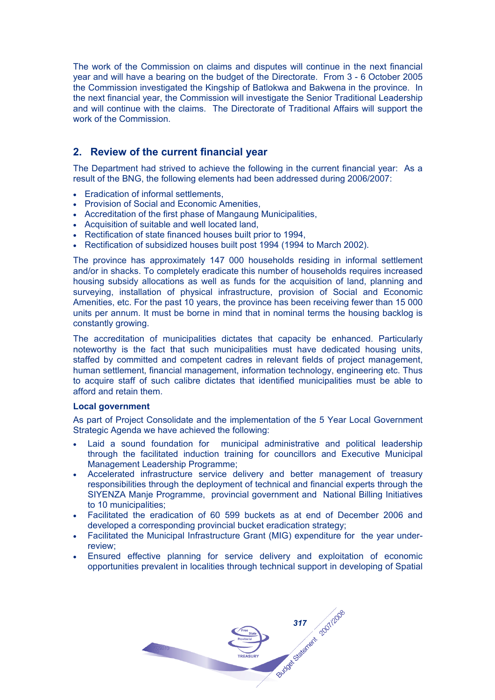The work of the Commission on claims and disputes will continue in the next financial year and will have a bearing on the budget of the Directorate. From 3 - 6 October 2005 the Commission investigated the Kingship of Batlokwa and Bakwena in the province. In the next financial year, the Commission will investigate the Senior Traditional Leadership and will continue with the claims. The Directorate of Traditional Affairs will support the work of the Commission.

## **2. Review of the current financial year**

The Department had strived to achieve the following in the current financial year: As a result of the BNG, the following elements had been addressed during 2006/2007:

- Eradication of informal settlements,
- Provision of Social and Economic Amenities,
- Accreditation of the first phase of Mangaung Municipalities,
- Acquisition of suitable and well located land,
- Rectification of state financed houses built prior to 1994,
- Rectification of subsidized houses built post 1994 (1994 to March 2002).

The province has approximately 147 000 households residing in informal settlement and/or in shacks. To completely eradicate this number of households requires increased housing subsidy allocations as well as funds for the acquisition of land, planning and surveying, installation of physical infrastructure, provision of Social and Economic Amenities, etc. For the past 10 years, the province has been receiving fewer than 15 000 units per annum. It must be borne in mind that in nominal terms the housing backlog is constantly growing.

The accreditation of municipalities dictates that capacity be enhanced. Particularly noteworthy is the fact that such municipalities must have dedicated housing units, staffed by committed and competent cadres in relevant fields of project management, human settlement, financial management, information technology, engineering etc. Thus to acquire staff of such calibre dictates that identified municipalities must be able to afford and retain them.

## **Local government**

As part of Project Consolidate and the implementation of the 5 Year Local Government Strategic Agenda we have achieved the following:

- Laid a sound foundation for municipal administrative and political leadership through the facilitated induction training for councillors and Executive Municipal Management Leadership Programme;
- Accelerated infrastructure service delivery and better management of treasury responsibilities through the deployment of technical and financial experts through the SIYENZA Manje Programme, provincial government and National Billing Initiatives to 10 municipalities;
- Facilitated the eradication of 60 599 buckets as at end of December 2006 and developed a corresponding provincial bucket eradication strategy;
- Facilitated the Municipal Infrastructure Grant (MIG) expenditure for the year underreview;
- Ensured effective planning for service delivery and exploitation of economic opportunities prevalent in localities through technical support in developing of Spatial

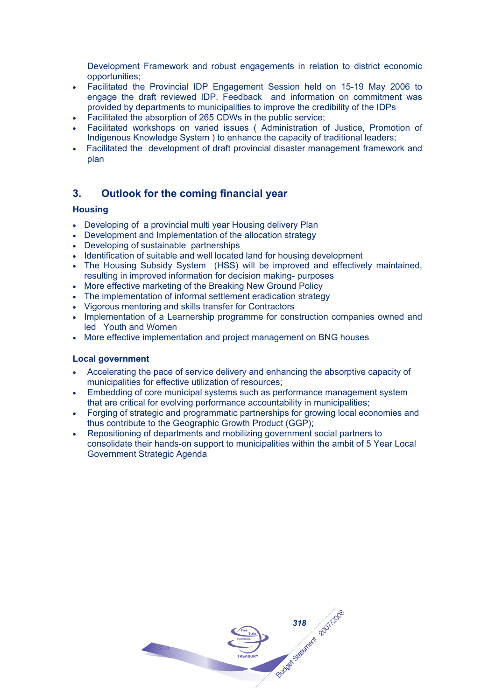Development Framework and robust engagements in relation to district economic opportunities;

- Facilitated the Provincial IDP Engagement Session held on 15-19 May 2006 to engage the draft reviewed IDP. Feedback and information on commitment was provided by departments to municipalities to improve the credibility of the IDPs
- Facilitated the absorption of 265 CDWs in the public service;
- Facilitated workshops on varied issues ( Administration of Justice, Promotion of Indigenous Knowledge System ) to enhance the capacity of traditional leaders;
- Facilitated the development of draft provincial disaster management framework and plan

## **3. Outlook for the coming financial year**

## **Housing**

- Developing of a provincial multi year Housing delivery Plan
- Development and Implementation of the allocation strategy
- Developing of sustainable partnerships
- Identification of suitable and well located land for housing development
- The Housing Subsidy System (HSS) will be improved and effectively maintained, resulting in improved information for decision making- purposes
- More effective marketing of the Breaking New Ground Policy
- The implementation of informal settlement eradication strategy
- Vigorous mentoring and skills transfer for Contractors
- Implementation of a Learnership programme for construction companies owned and led Youth and Women
- More effective implementation and project management on BNG houses

## **Local government**

- Accelerating the pace of service delivery and enhancing the absorptive capacity of municipalities for effective utilization of resources;
- Embedding of core municipal systems such as performance management system that are critical for evolving performance accountability in municipalities;
- Forging of strategic and programmatic partnerships for growing local economies and thus contribute to the Geographic Growth Product (GGP);
- Repositioning of departments and mobilizing government social partners to consolidate their hands-on support to municipalities within the ambit of 5 Year Local Government Strategic Agenda

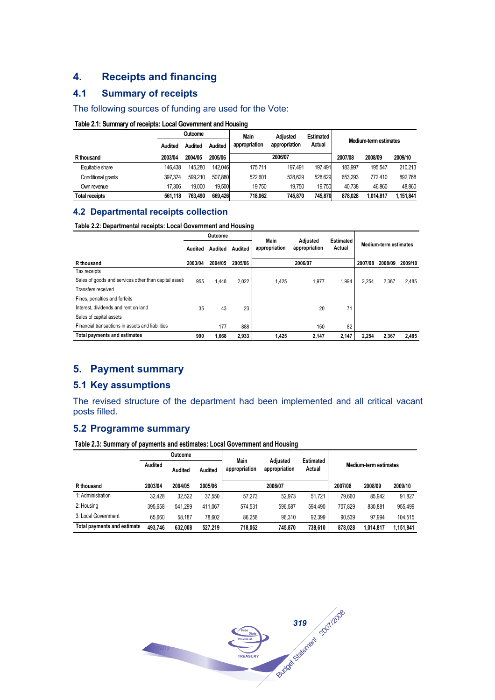## **4. Receipts and financing**

## **4.1 Summary of receipts**

#### The following sources of funding are used for the Vote:

#### **Table 2.1: Summary of receipts: Local Government and Housing**

|                       |         | Outcome        |         | <b>Main</b>   | <b>Adiusted</b> | <b>Estimated</b> | Medium-term estimates |           |           |  |
|-----------------------|---------|----------------|---------|---------------|-----------------|------------------|-----------------------|-----------|-----------|--|
|                       | Audited | <b>Audited</b> | Audited | appropriation | appropriation   | Actual           |                       |           |           |  |
| R thousand            | 2003/04 | 2004/05        | 2005/06 |               | 2006/07         |                  | 2007/08               | 2008/09   | 2009/10   |  |
| Equitable share       | 146.438 | 145.280        | 142.046 | 175.711       | 197.491         | 197.491          | 183.997               | 195.547   | 210.213   |  |
| Conditional grants    | 397.374 | 599.210        | 507.880 | 522.601       | 528.629         | 528.629          | 653.293               | 772.410   | 892,768   |  |
| Own revenue           | 17.306  | 19.000         | 19.500  | 19.750        | 19.750          | 19.750           | 40.738                | 46.860    | 48.860    |  |
| <b>Total receipts</b> | 561.118 | 763.490        | 669.426 | 718.062       | 745.870         | 745.870          | 878.028               | 1.014.817 | 1.151.841 |  |

#### **4.2 Departmental receipts collection**

#### **Table 2.2: Departmental receipts: Local Government and Housing**

|                                                       | Outcome |         |         | Main          |                           | Estimated |         |                              |       |
|-------------------------------------------------------|---------|---------|---------|---------------|---------------------------|-----------|---------|------------------------------|-------|
|                                                       | Audited | Audited | Audited | appropriation | Adjusted<br>appropriation | Actual    |         | <b>Medium-term estimates</b> |       |
| R thousand                                            | 2003/04 | 2004/05 | 2005/06 |               | 2006/07                   | 2007/08   | 2008/09 | 2009/10                      |       |
| Tax receipts                                          |         |         |         |               |                           |           |         |                              |       |
| Sales of goods and services other than capital asset: | 955     | 1.448   | 2.022   | 1.425         | 1.977                     | 1.994     | 2.254   | 2,367                        | 2,485 |
| Transfers received                                    |         |         |         |               |                           |           |         |                              |       |
| Fines, penalties and forfeits                         |         |         |         |               |                           |           |         |                              |       |
| Interest, dividends and rent on land                  | 35      | 43      | 23      |               | 20                        | 71        |         |                              |       |
| Sales of capital assets                               |         |         |         |               |                           |           |         |                              |       |
| Financial transactions in assets and liabilities      |         | 177     | 888     |               | 150                       | 82        |         |                              |       |
| <b>Total payments and estimates</b>                   | 990     | 1.668   | 2,933   | 1.425         | 2,147                     | 2,147     | 2.254   | 2.367                        | 2,485 |

## **5. Payment summary**

## **5.1 Key assumptions**

The revised structure of the department had been implemented and all critical vacant posts filled.

## **5.2 Programme summary**

**Table 2.3: Summary of payments and estimates: Local Government and Housing**

|                                    | <b>Outcome</b> |         |         |                              |                           | <b>Estimated</b> |                              |           |           |  |
|------------------------------------|----------------|---------|---------|------------------------------|---------------------------|------------------|------------------------------|-----------|-----------|--|
|                                    | Audited        | Audited | Audited | <b>Main</b><br>appropriation | Adjusted<br>appropriation |                  | <b>Medium-term estimates</b> |           |           |  |
| R thousand                         | 2003/04        | 2004/05 | 2005/06 |                              | 2006/07                   |                  | 2007/08                      | 2008/09   | 2009/10   |  |
| 1: Administration                  | 32.428         | 32.522  | 37.550  | 57.273                       | 52.973                    | 51.721           | 79.660                       | 85.942    | 91.827    |  |
| 2: Housing                         | 395.658        | 541.299 | 411.067 | 574.531                      | 596.587                   | 594.490          | 707.829                      | 830.881   | 955.499   |  |
| 3: Local Government                | 65.660         | 58.187  | 78.602  | 86.258                       | 96.310                    | 92.399           | 90.539                       | 97.994    | 104.515   |  |
| <b>Total payments and estimate</b> | 493.746        | 632.008 | 527,219 | 718.062                      | 745.870                   | 738,610          | 878.028                      | 1,014,817 | 1,151,841 |  |

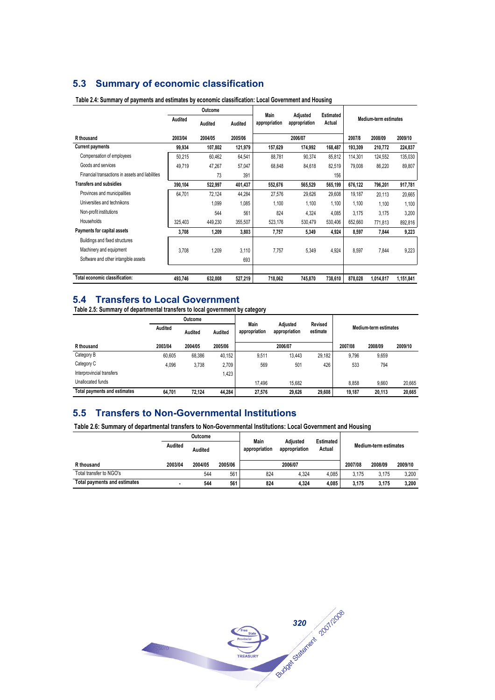## **5.3 Summary of economic classification**

|                                                  |         | Outcome |         | Main          |                           |                            |         |                       |           |
|--------------------------------------------------|---------|---------|---------|---------------|---------------------------|----------------------------|---------|-----------------------|-----------|
|                                                  | Audited | Audited | Audited | appropriation | Adjusted<br>appropriation | <b>Estimated</b><br>Actual |         | Medium-term estimates |           |
| R thousand                                       | 2003/04 | 2004/05 | 2005/06 |               | 2006/07                   |                            | 2007/8  | 2008/09               | 2009/10   |
| <b>Current payments</b>                          | 99,934  | 107,802 | 121,979 | 157,629       | 174,992                   | 168,487                    | 193,309 | 210,772               | 224,837   |
| Compensation of employees                        | 50,215  | 60,462  | 64,541  | 88,781        | 90,374                    | 85,812                     | 114,301 | 124,552               | 135,030   |
| Goods and services                               | 49,719  | 47,267  | 57,047  | 68,848        | 84,618                    | 82,519                     | 79,008  | 86,220                | 89,807    |
| Financial transactions in assets and liabilities |         | 73      | 391     |               |                           | 156                        |         |                       |           |
| <b>Transfers and subsidies</b>                   | 390,104 | 522,997 | 401,437 | 552,676       | 565,529                   | 565,199                    | 676,122 | 796,201               | 917,781   |
| Provinces and municipalities                     | 64,701  | 72,124  | 44,284  | 27,576        | 29,626                    | 29,608                     | 19,187  | 20,113                | 20,665    |
| Universities and technikons                      |         | 1,099   | 1,085   | 1.100         | 1.100                     | 1,100                      | 1.100   | 1.100                 | 1,100     |
| Non-profit institutions                          |         | 544     | 561     | 824           | 4,324                     | 4,085                      | 3.175   | 3.175                 | 3,200     |
| Households                                       | 325.403 | 449.230 | 355,507 | 523.176       | 530,479                   | 530,406                    | 652,660 | 771,813               | 892,816   |
| Payments for capital assets                      | 3.708   | 1,209   | 3,803   | 7,757         | 5,349                     | 4,924                      | 8.597   | 7,844                 | 9,223     |
| Buildings and fixed structures                   |         |         |         |               |                           |                            |         |                       |           |
| Machinery and equipment                          | 3.708   | 1,209   | 3,110   | 7.757         | 5,349                     | 4,924                      | 8,597   | 7,844                 | 9,223     |
| Software and other intangible assets             |         |         | 693     |               |                           |                            |         |                       |           |
| Total economic classification:                   | 493,746 | 632,008 | 527,219 | 718,062       | 745,870                   | 738,610                    | 878,028 | 1,014,817             | 1,151,841 |

#### **Table 2.4: Summary of payments and estimates by economic classification: Local Government and Housing**

## **5.4 Transfers to Local Government**

**Table 2.5: Summary of departmental transfers to local government by category**

|                                     |         | Outcome |                                                                                                               |        |         |        |         |         |         |  |
|-------------------------------------|---------|---------|---------------------------------------------------------------------------------------------------------------|--------|---------|--------|---------|---------|---------|--|
|                                     | Audited | Audited | Main<br>Adiusted<br>Revised<br>Medium-term estimates<br>appropriation<br>estimate<br>appropriation<br>Audited |        |         |        |         |         |         |  |
| R thousand                          | 2003/04 | 2004/05 | 2005/06                                                                                                       |        | 2006/07 |        | 2007/08 | 2008/09 | 2009/10 |  |
| Category B                          | 60.605  | 68.386  | 40.152                                                                                                        | 9.511  | 13.443  | 29.182 | 9.796   | 9,659   |         |  |
| Category C                          | 4,096   | 3,738   | 2.709                                                                                                         | 569    | 501     | 426    | 533     | 794     |         |  |
| Interprovincial transfers           |         |         | 1,423                                                                                                         |        |         |        |         |         |         |  |
| Unallocated funds                   |         |         |                                                                                                               | 17.496 | 15.682  |        | 8.858   | 9,660   | 20.665  |  |
| <b>Total payments and estimates</b> | 64.701  | 72.124  | 44.284                                                                                                        | 27.576 | 29.626  | 29.608 | 19.187  | 20.113  | 20.665  |  |

## **5.5 Transfers to Non-Governmental Institutions**

**Table 2.6: Summary of departmental transfers to Non-Governmental Institutions: Local Government and Housing**

|                                     | Outcome |         |         |                       |                           |                            |                       |       |       |  |
|-------------------------------------|---------|---------|---------|-----------------------|---------------------------|----------------------------|-----------------------|-------|-------|--|
|                                     | Audited | Audited |         | Main<br>appropriation | Adiusted<br>appropriation | <b>Estimated</b><br>Actual | Medium-term estimates |       |       |  |
| R thousand                          | 2003/04 | 2004/05 | 2005/06 |                       | 2007/08                   | 2008/09                    | 2009/10               |       |       |  |
| Total transfer to NGO's             |         | 544     | 561     | 824                   | 4.324                     | 4.085                      | 3.175                 | 3.175 | 3.200 |  |
| <b>Total payments and estimates</b> |         | 544     | 561     | 824                   | 4.324                     | 4.085                      | 3.175                 | 3.175 | 3.200 |  |

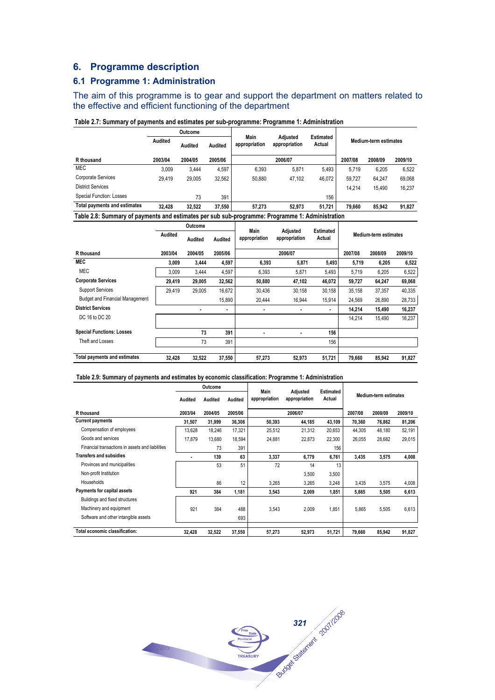## **6. Programme description**

## **6.1 Programme 1: Administration**

The aim of this programme is to gear and support the department on matters related to the effective and efficient functioning of the department

|                                                                                                 |         | Outcome        |                |                       | <b>Adiusted</b> | <b>Estimated</b> |         |                              |         |
|-------------------------------------------------------------------------------------------------|---------|----------------|----------------|-----------------------|-----------------|------------------|---------|------------------------------|---------|
|                                                                                                 | Audited | <b>Audited</b> | <b>Audited</b> | Main<br>appropriation | appropriation   | Actual           |         | <b>Medium-term estimates</b> |         |
| R thousand                                                                                      | 2003/04 | 2004/05        | 2005/06        |                       | 2006/07         |                  | 2007/08 | 2008/09                      | 2009/10 |
| <b>MEC</b>                                                                                      | 3.009   | 3.444          | 4.597          | 6.393                 | 5,871           | 5.493            | 5.719   | 6.205                        | 6,522   |
| Corporate Services                                                                              | 29.419  | 29,005         | 32,562         | 50.880                | 47.102          | 46,072           | 59.727  | 64.247                       | 69,068  |
| <b>District Services</b>                                                                        |         |                |                |                       |                 |                  | 14.214  | 15,490                       | 16,237  |
| Special Function: Losses                                                                        |         | 73             | 391            |                       |                 | 156              |         |                              |         |
| <b>Total payments and estimates</b>                                                             | 32,428  | 32.522         | 37.550         | 57.273                | 52.973          | 51,721           | 79.660  | 85.942                       | 91,827  |
| Table 2.8: Summary of payments and estimates per sub sub-programme: Programme 1: Administration |         |                |                |                       |                 |                  |         |                              |         |

#### **Table 2.7: Summary of payments and estimates per sub-programme: Programme 1: Administration**

|                                        |         | Outcome |         |                       |                           |                     |         |                              |         |  |
|----------------------------------------|---------|---------|---------|-----------------------|---------------------------|---------------------|---------|------------------------------|---------|--|
|                                        | Audited | Audited | Audited | Main<br>appropriation | Adjusted<br>appropriation | Estimated<br>Actual |         | <b>Medium-term estimates</b> |         |  |
| R thousand                             | 2003/04 | 2004/05 | 2005/06 | 2006/07               |                           |                     | 2007/08 | 2008/09                      | 2009/10 |  |
| <b>MEC</b>                             | 3.009   | 3,444   | 4,597   | 6,393                 | 5,871                     | 5,493               | 5,719   | 6,205                        | 6,522   |  |
| <b>MEC</b>                             | 3,009   | 3,444   | 4,597   | 6,393                 | 5,871                     | 5,493               | 5,719   | 6,205                        | 6,522   |  |
| <b>Corporate Services</b>              | 29.419  | 29,005  | 32,562  | 50,880                | 47,102                    | 46,072              | 59,727  | 64,247                       | 69,068  |  |
| <b>Support Services</b>                | 29.419  | 29.005  | 16.672  | 30.436                | 30.158                    | 30,158              | 35.158  | 37,357                       | 40,335  |  |
| <b>Budget and Financial Management</b> |         |         | 15,890  | 20,444                | 16,944                    | 15,914              | 24,569  | 26,890                       | 28,733  |  |
| <b>District Services</b>               |         |         | ٠       |                       |                           | $\blacksquare$      | 14,214  | 15,490                       | 16,237  |  |
| DC 16 to DC 20                         |         |         |         |                       |                           |                     | 14,214  | 15,490                       | 16,237  |  |
| <b>Special Functions: Losses</b>       |         | 73      | 391     | $\blacksquare$        | ٠                         | 156                 |         |                              |         |  |
| Theft and Losses                       |         | 73      | 391     |                       |                           | 156                 |         |                              |         |  |
| <b>Total payments and estimates</b>    | 32.428  | 32.522  | 37,550  | 57,273                | 52,973                    | 51,721              | 79,660  | 85.942                       | 91,827  |  |

#### **Table 2.9: Summary of payments and estimates by economic classification: Programme 1: Administration**

|                                                  |         | Outcome |         | Main                           | Adjusted |                     |                              |         |         |  |
|--------------------------------------------------|---------|---------|---------|--------------------------------|----------|---------------------|------------------------------|---------|---------|--|
|                                                  | Audited | Audited | Audited | appropriation<br>appropriation |          | Estimated<br>Actual | <b>Medium-term estimates</b> |         |         |  |
| R thousand                                       | 2003/04 | 2004/05 | 2005/06 |                                | 2006/07  |                     | 2007/08                      | 2008/09 | 2009/10 |  |
| <b>Current payments</b>                          | 31,507  | 31,999  | 36,306  | 50,393                         | 44,185   | 43,109              | 70.360                       | 76,862  | 81,206  |  |
| Compensation of employees                        | 13,628  | 18,246  | 17,321  | 25,512                         | 21,312   | 20,653              | 44,305                       | 48,180  | 52,191  |  |
| Goods and services                               | 17,879  | 13.680  | 18.594  | 24,881                         | 22.873   | 22,300              | 26.055                       | 28,682  | 29,015  |  |
| Financial transactions in assets and liabilities |         | 73      | 391     |                                |          | 156                 |                              |         |         |  |
| <b>Transfers and subsidies</b>                   |         | 139     | 63      | 3,337                          | 6,779    | 6,761               | 3,435                        | 3,575   | 4,008   |  |
| Provinces and municipalities                     |         | 53      | 51      | 72                             | 14       | 13                  |                              |         |         |  |
| Non-profit Institution                           |         |         |         |                                | 3,500    | 3,500               |                              |         |         |  |
| <b>Households</b>                                |         | 86      | 12      | 3,265                          | 3,265    | 3,248               | 3.435                        | 3,575   | 4,008   |  |
| Payments for capital assets                      | 921     | 384     | 1.181   | 3,543                          | 2,009    | 1,851               | 5.865                        | 5,505   | 6,613   |  |
| Buildings and fixed structures                   |         |         |         |                                |          |                     |                              |         |         |  |
| Machinery and equipment                          | 921     | 384     | 488     | 3.543                          | 2.009    | 1.851               | 5.865                        | 5,505   | 6,613   |  |
| Software and other intangible assets             |         |         | 693     |                                |          |                     |                              |         |         |  |
| Total economic classification:                   | 32,428  | 32,522  | 37,550  | 57,273                         | 52,973   | 51,721              | 79,660                       | 85,942  | 91,827  |  |

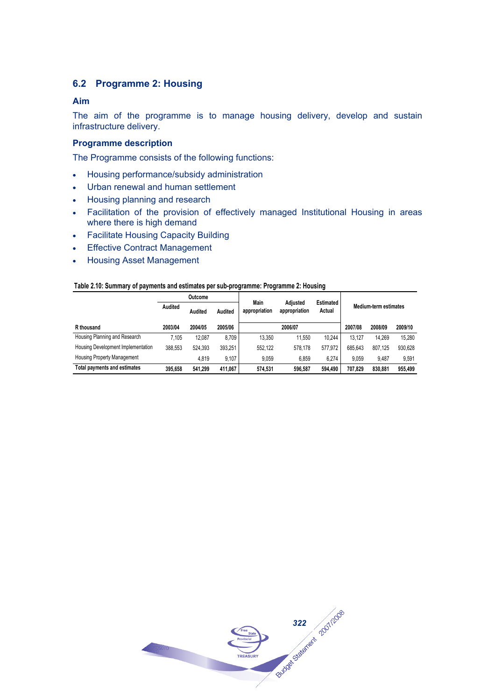## **6.2 Programme 2: Housing**

## **Aim**

The aim of the programme is to manage housing delivery, develop and sustain infrastructure delivery.

## **Programme description**

The Programme consists of the following functions:

- Housing performance/subsidy administration
- Urban renewal and human settlement
- Housing planning and research
- Facilitation of the provision of effectively managed Institutional Housing in areas where there is high demand
- Facilitate Housing Capacity Building
- Effective Contract Management
- Housing Asset Management

#### **Table 2.10: Summary of payments and estimates per sub-programme: Programme 2: Housing**

|                                    |         | Outcome |         |                       | <b>Adiusted</b>              | <b>Estimated</b> |         |         |         |
|------------------------------------|---------|---------|---------|-----------------------|------------------------------|------------------|---------|---------|---------|
|                                    | Audited | Audited | Audited | Main<br>appropriation | <b>Medium-term estimates</b> |                  |         |         |         |
| R thousand                         | 2003/04 | 2004/05 | 2005/06 |                       | 2006/07                      |                  | 2007/08 | 2008/09 | 2009/10 |
| Housing Planning and Research      | 7.105   | 12.087  | 8.709   | 13.350                | 11.550                       | 10.244           | 13.127  | 14.269  | 15.280  |
| Housing Development Implementation | 388.553 | 524.393 | 393.251 | 552.122               | 578.178                      | 577.972          | 685.643 | 807.125 | 930.628 |
| <b>Housing Property Management</b> |         | 4.819   | 9.107   | 9.059                 | 6.859                        | 6.274            | 9.059   | 9.487   | 9.591   |
| Total payments and estimates       | 395.658 | 541.299 | 411.067 | 574.531               | 596.587                      | 594.490          | 707.829 | 830,881 | 955.499 |

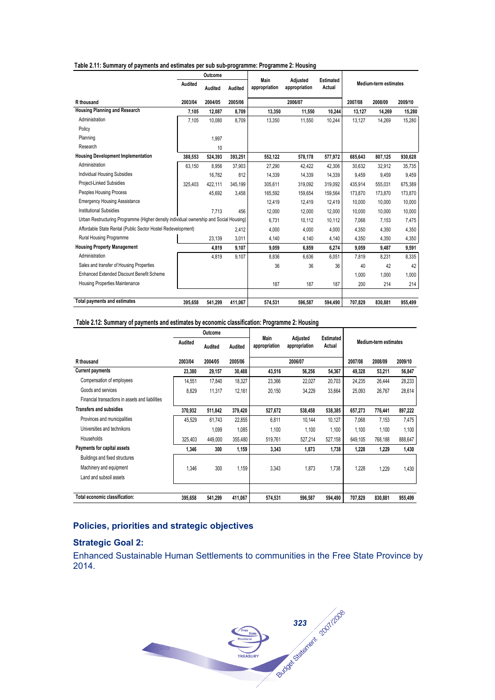| Table 2.11: Summary of payments and estimates per sub sub-programme: Programme 2: Housing |  |  |  |  |  |  |
|-------------------------------------------------------------------------------------------|--|--|--|--|--|--|
|                                                                                           |  |  |  |  |  |  |

|                                                                                        | Outcome |         | Main    |               | <b>Estimated</b>          |         |         |                       |         |
|----------------------------------------------------------------------------------------|---------|---------|---------|---------------|---------------------------|---------|---------|-----------------------|---------|
|                                                                                        | Audited | Audited | Audited | appropriation | Adjusted<br>appropriation | Actual  |         | Medium-term estimates |         |
| R thousand                                                                             | 2003/04 | 2004/05 | 2005/06 |               | 2006/07                   |         | 2007/08 | 2008/09               | 2009/10 |
| <b>Housing Planning and Research</b>                                                   | 7.105   | 12.087  | 8.709   | 13,350        | 11,550                    | 10.244  | 13.127  | 14,269                | 15,280  |
| Administration                                                                         | 7.105   | 10.080  | 8.709   | 13,350        | 11,550                    | 10.244  | 13.127  | 14.269                | 15,280  |
| Policy                                                                                 |         |         |         |               |                           |         |         |                       |         |
| Planning                                                                               |         | 1,997   |         |               |                           |         |         |                       |         |
| Research                                                                               |         | 10      |         |               |                           |         |         |                       |         |
| <b>Housing Development Implementation</b>                                              | 388,553 | 524,393 | 393,251 | 552,122       | 578,178                   | 577,972 | 685,643 | 807,125               | 930,628 |
| Administration                                                                         | 63.150  | 8.956   | 37,903  | 27.290        | 42.422                    | 42.306  | 30.632  | 32.912                | 35,735  |
| <b>Individual Housing Subsidies</b>                                                    |         | 16.782  | 812     | 14,339        | 14,339                    | 14,339  | 9.459   | 9.459                 | 9,459   |
| Project-Linked Subsidies                                                               | 325.403 | 422.111 | 345.199 | 305.611       | 319.092                   | 319.092 | 435.914 | 555.031               | 675,389 |
| <b>Peoples Housing Process</b>                                                         |         | 45.692  | 3.458   | 165.592       | 159.654                   | 159.564 | 173.870 | 173.870               | 173,870 |
| <b>Emergency Housing Asssistance</b>                                                   |         |         |         | 12,419        | 12,419                    | 12.419  | 10.000  | 10.000                | 10,000  |
| <b>Institutional Subsidies</b>                                                         |         | 7.713   | 456     | 12.000        | 12.000                    | 12.000  | 10.000  | 10.000                | 10,000  |
| Urban Restructuring Programme (Higher density individual ownership and Social Housing) |         |         |         | 6,731         | 10,112                    | 10,112  | 7,068   | 7,153                 | 7,475   |
| Affordable State Rental (Public Sector Hostel Redevelopment)                           |         |         | 2.412   | 4.000         | 4.000                     | 4,000   | 4.350   | 4,350                 | 4,350   |
| Rural Housing Programme                                                                |         | 23,139  | 3.011   | 4,140         | 4,140                     | 4,140   | 4.350   | 4,350                 | 4,350   |
| <b>Housing Property Management</b>                                                     |         | 4,819   | 9.107   | 9,059         | 6.859                     | 6,274   | 9.059   | 9,487                 | 9,591   |
| Administration                                                                         |         | 4.819   | 9.107   | 8,836         | 6,636                     | 6,051   | 7.819   | 8,231                 | 8,335   |
| Sales and transfer of Housing Properties                                               |         |         |         | 36            | 36                        | 36      | 40      | 42                    | 42      |
| Enhanced Extended Discount Benefit Scheme                                              |         |         |         |               |                           |         | 1.000   | 1.000                 | 1,000   |
| Housing Properties Maintenance                                                         |         |         |         | 187           | 187                       | 187     | 200     | 214                   | 214     |
| <b>Total payments and estimates</b>                                                    | 395.658 | 541.299 | 411,067 | 574,531       | 596,587                   | 594.490 | 707,829 | 830,881               | 955,499 |

#### **Table 2.12: Summary of payments and estimates by economic classification: Programme 2: Housing**

|                                                  | Outcome |         | Main    |               |                           |                            |         |                       |         |
|--------------------------------------------------|---------|---------|---------|---------------|---------------------------|----------------------------|---------|-----------------------|---------|
|                                                  | Audited | Audited | Audited | appropriation | Adjusted<br>appropriation | <b>Estimated</b><br>Actual |         | Medium-term estimates |         |
| R thousand                                       | 2003/04 | 2004/05 | 2005/06 |               | 2006/07                   |                            | 2007/08 | 2008/09               | 2009/10 |
| <b>Current payments</b>                          | 23,380  | 29,157  | 30,488  | 43,516        | 56,256                    | 54,367                     | 49.328  | 53,211                | 56,847  |
| Compensation of employees                        | 14,551  | 17,840  | 18,327  | 23,366        | 22,027                    | 20,703                     | 24,235  | 26,444                | 28,233  |
| Goods and services                               | 8,829   | 11,317  | 12,161  | 20,150        | 34,229                    | 33,664                     | 25,093  | 26,767                | 28,614  |
| Financial transactions in assets and liabilities |         |         |         |               |                           |                            |         |                       |         |
| <b>Transfers and subsidies</b>                   | 370,932 | 511,842 | 379,420 | 527,672       | 538,458                   | 538,385                    | 657,273 | 776,441               | 897,222 |
| Provinces and municipalities                     | 45,529  | 61,743  | 22,855  | 6,811         | 10,144                    | 10,127                     | 7,068   | 7,153                 | 7,475   |
| Universities and technikons                      |         | 1,099   | 1,085   | 1,100         | 1,100                     | 1,100                      | 1,100   | 1.100                 | 1,100   |
| Households                                       | 325,403 | 449,000 | 355,480 | 519,761       | 527,214                   | 527,158                    | 649,105 | 768,188               | 888,647 |
| Payments for capital assets                      | 1,346   | 300     | 1,159   | 3,343         | 1,873                     | 1,738                      | 1,228   | 1,229                 | 1,430   |
| Buildings and fixed structures                   |         |         |         |               |                           |                            |         |                       |         |
| Machinery and equipment                          | 1,346   | 300     | 1,159   | 3,343         | 1,873                     | 1,738                      | 1,228   | 1,229                 | 1,430   |
| Land and subsoil assets                          |         |         |         |               |                           |                            |         |                       |         |
|                                                  |         |         |         |               |                           |                            |         |                       |         |
| Total economic classification:                   | 395,658 | 541,299 | 411,067 | 574,531       | 596,587                   | 594,490                    | 707,829 | 830,881               | 955,499 |

## **Policies, priorities and strategic objectives**

## **Strategic Goal 2:**

Enhanced Sustainable Human Settlements to communities in the Free State Province by 2014.

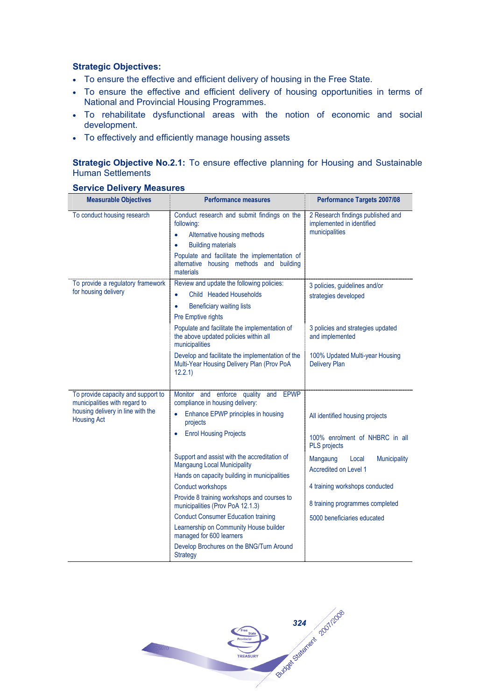## **Strategic Objectives:**

- To ensure the effective and efficient delivery of housing in the Free State.
- To ensure the effective and efficient delivery of housing opportunities in terms of National and Provincial Housing Programmes.
- To rehabilitate dysfunctional areas with the notion of economic and social development.
- To effectively and efficiently manage housing assets

## **Strategic Objective No.2.1:** To ensure effective planning for Housing and Sustainable Human Settlements

| <b>Measurable Objectives</b>                                        | <b>Performance measures</b>                                                                                                                                                                                                                       | <b>Performance Targets 2007/08</b>                                               |  |
|---------------------------------------------------------------------|---------------------------------------------------------------------------------------------------------------------------------------------------------------------------------------------------------------------------------------------------|----------------------------------------------------------------------------------|--|
| To conduct housing research                                         | Conduct research and submit findings on the<br>following:<br>Alternative housing methods<br>$\bullet$<br><b>Building materials</b><br>٠<br>Populate and facilitate the implementation of<br>alternative housing methods and building<br>materials | 2 Research findings published and<br>implemented in identified<br>municipalities |  |
| To provide a regulatory framework<br>for housing delivery           | Review and update the following policies:<br>Child Headed Households<br>$\bullet$<br><b>Beneficiary waiting lists</b><br>$\bullet$<br>Pre Emptive rights                                                                                          | 3 policies, guidelines and/or<br>strategies developed                            |  |
|                                                                     | Populate and facilitate the implementation of<br>the above updated policies within all<br>municipalities                                                                                                                                          | 3 policies and strategies updated<br>and implemented                             |  |
|                                                                     | Develop and facilitate the implementation of the<br>Multi-Year Housing Delivery Plan (Prov PoA<br>12.2.1)                                                                                                                                         | 100% Updated Multi-year Housing<br><b>Delivery Plan</b>                          |  |
| To provide capacity and support to<br>municipalities with regard to | Monitor and enforce quality and<br><b>EPWP</b><br>compliance in housing delivery:                                                                                                                                                                 |                                                                                  |  |
| housing delivery in line with the<br><b>Housing Act</b>             | Enhance EPWP principles in housing<br>projects                                                                                                                                                                                                    | All identified housing projects                                                  |  |
|                                                                     | <b>Enrol Housing Projects</b>                                                                                                                                                                                                                     | 100% enrolment of NHBRC in all<br><b>PLS</b> projects                            |  |
|                                                                     | Support and assist with the accreditation of<br><b>Mangaung Local Municipality</b><br>Hands on capacity building in municipalities                                                                                                                | Mangaung<br>Local<br><b>Municipality</b><br><b>Accredited on Level 1</b>         |  |
|                                                                     | <b>Conduct workshops</b>                                                                                                                                                                                                                          | 4 training workshops conducted                                                   |  |
|                                                                     | Provide 8 training workshops and courses to<br>municipalities (Prov PoA 12.1.3)                                                                                                                                                                   | 8 training programmes completed                                                  |  |
|                                                                     | <b>Conduct Consumer Education training</b>                                                                                                                                                                                                        | 5000 beneficiaries educated                                                      |  |
|                                                                     | Learnership on Community House builder<br>managed for 600 learners                                                                                                                                                                                |                                                                                  |  |
|                                                                     | Develop Brochures on the BNG/Turn Around<br><b>Strategy</b>                                                                                                                                                                                       |                                                                                  |  |

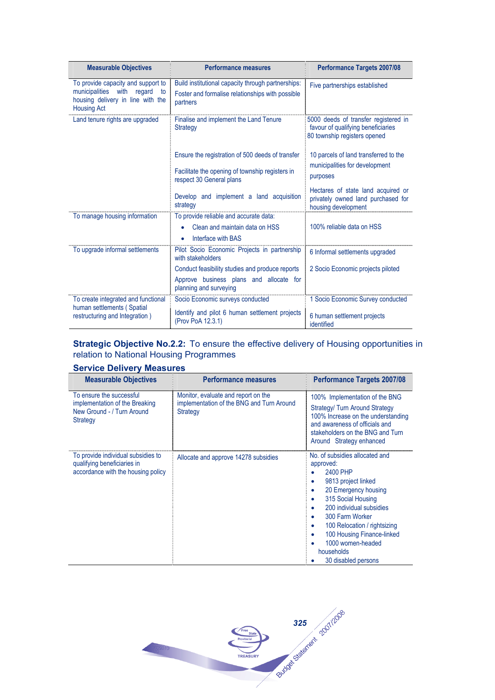| <b>Measurable Objectives</b>                                                                                                            | <b>Performance measures</b>                                                                                                     | <b>Performance Targets 2007/08</b>                                                                         |
|-----------------------------------------------------------------------------------------------------------------------------------------|---------------------------------------------------------------------------------------------------------------------------------|------------------------------------------------------------------------------------------------------------|
| To provide capacity and support to<br>municipalities<br>with<br>regard<br>to<br>housing delivery in line with the<br><b>Housing Act</b> | Build institutional capacity through partnerships:<br>Foster and formalise relationships with possible<br>partners              | Five partnerships established                                                                              |
| Land tenure rights are upgraded                                                                                                         | Finalise and implement the Land Tenure<br><b>Strategy</b>                                                                       | 5000 deeds of transfer registered in<br>favour of qualifying beneficiaries<br>80 township registers opened |
|                                                                                                                                         | Ensure the registration of 500 deeds of transfer<br>Facilitate the opening of township registers in<br>respect 30 General plans | 10 parcels of land transferred to the<br>municipalities for development<br>purposes                        |
|                                                                                                                                         | Develop and implement a land acquisition<br>strategy                                                                            | Hectares of state land acquired or<br>privately owned land purchased for<br>housing development            |
| To manage housing information                                                                                                           | To provide reliable and accurate data:<br>Clean and maintain data on HSS<br>Interface with BAS                                  | 100% reliable data on HSS                                                                                  |
| To upgrade informal settlements                                                                                                         | Pilot Socio Economic Projects in partnership<br>with stakeholders                                                               | 6 Informal settlements upgraded                                                                            |
|                                                                                                                                         | Conduct feasibility studies and produce reports<br>Approve business plans and allocate for<br>planning and surveying            | 2 Socio Economic projects piloted                                                                          |
| To create integrated and functional<br>human settlements (Spatial<br>restructuring and Integration)                                     | Socio Economic surveys conducted<br>Identify and pilot 6 human settlement projects<br>(Prov PoA 12.3.1)                         | 1 Socio Economic Survey conducted<br>6 human settlement projects<br>identified                             |

## **Strategic Objective No.2.2:** To ensure the effective delivery of Housing opportunities in relation to National Housing Programmes

| <b>Measurable Objectives</b>                                                                            | <b>Performance measures</b>                                                                  | <b>Performance Targets 2007/08</b>                                                                                                                                                                                                                                                                                                             |
|---------------------------------------------------------------------------------------------------------|----------------------------------------------------------------------------------------------|------------------------------------------------------------------------------------------------------------------------------------------------------------------------------------------------------------------------------------------------------------------------------------------------------------------------------------------------|
| To ensure the successful<br>implementation of the Breaking<br>New Ground - / Turn Around<br>Strategy    | Monitor, evaluate and report on the<br>implementation of the BNG and Turn Around<br>Strategy | 100% Implementation of the BNG<br><b>Strategy/ Turn Around Strategy</b><br>100% Increase on the understanding<br>and awareness of officials and<br>stakeholders on the BNG and Turn<br>Around Strategy enhanced                                                                                                                                |
| To provide individual subsidies to<br>qualifying beneficiaries in<br>accordance with the housing policy | Allocate and approve 14278 subsidies                                                         | No. of subsidies allocated and<br>approved:<br>2400 PHP<br>9813 project linked<br>۰<br>20 Emergency housing<br>٠<br>315 Social Housing<br>٠<br>200 individual subsidies<br>۰<br>300 Farm Worker<br>$\bullet$<br>100 Relocation / rightsizing<br>٠<br>100 Housing Finance-linked<br>۰<br>1000 women-headed<br>households<br>30 disabled persons |

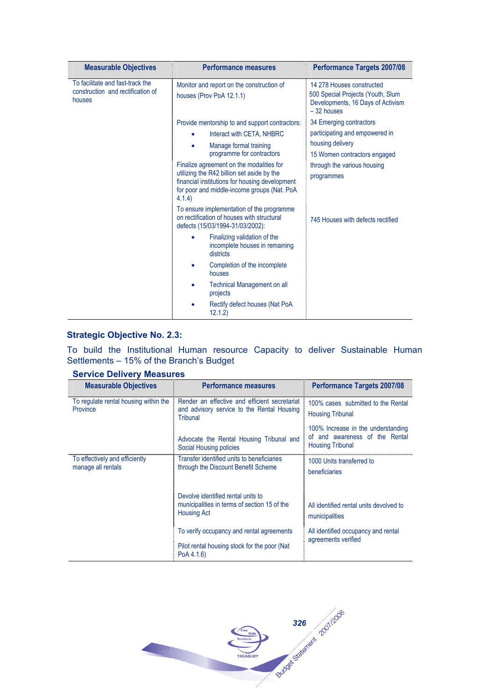| <b>Measurable Objectives</b>                                                    | <b>Performance measures</b>                                                                                                                                                                      | <b>Performance Targets 2007/08</b>                                                                                  |
|---------------------------------------------------------------------------------|--------------------------------------------------------------------------------------------------------------------------------------------------------------------------------------------------|---------------------------------------------------------------------------------------------------------------------|
| To facilitate and fast-track the<br>construction and rectification of<br>houses | Monitor and report on the construction of<br>houses (Prov PoA 12.1.1)                                                                                                                            | 14 278 Houses constructed<br>500 Special Projects (Youth, Slum<br>Developments, 16 Days of Activism<br>$-32$ houses |
|                                                                                 | Provide mentorship to and support contractors:                                                                                                                                                   | 34 Emerging contractors                                                                                             |
|                                                                                 | Interact with CETA, NHBRC<br>$\bullet$                                                                                                                                                           | participating and empowered in                                                                                      |
|                                                                                 | Manage formal training                                                                                                                                                                           | housing delivery                                                                                                    |
|                                                                                 | programme for contractors                                                                                                                                                                        | 15 Women contractors engaged                                                                                        |
|                                                                                 | Finalize agreement on the modalities for<br>utilizing the R42 billion set aside by the<br>financial institutions for housing development<br>for poor and middle-income groups (Nat. PoA<br>4.1.4 | through the various housing<br>programmes                                                                           |
|                                                                                 | To ensure implementation of the programme<br>on rectification of houses with structural<br>defects (15/03/1994-31/03/2002):                                                                      | 745 Houses with defects rectified                                                                                   |
|                                                                                 | Finalizing validation of the<br>$\bullet$<br>incomplete houses in remaining<br>districts                                                                                                         |                                                                                                                     |
|                                                                                 | Completion of the incomplete<br>houses                                                                                                                                                           |                                                                                                                     |
|                                                                                 | <b>Technical Management on all</b><br>projects                                                                                                                                                   |                                                                                                                     |
|                                                                                 | Rectify defect houses (Nat PoA<br>12.1.2)                                                                                                                                                        |                                                                                                                     |

## **Strategic Objective No. 2.3:**

To build the Institutional Human resource Capacity to deliver Sustainable Human Settlements – 15% of the Branch's Budget

| <b>Measurable Objectives</b>                         | <b>Performance measures</b>                                                                              | <b>Performance Targets 2007/08</b>                                                              |
|------------------------------------------------------|----------------------------------------------------------------------------------------------------------|-------------------------------------------------------------------------------------------------|
| To regulate rental housing within the<br>Province    | Render an effective and efficient secretariat<br>and advisory service to the Rental Housing<br>Tribunal  | 100% cases submitted to the Rental<br><b>Housing Tribunal</b>                                   |
|                                                      | Advocate the Rental Housing Tribunal and<br>Social Housing policies                                      | 100% Increase in the understanding<br>of and awareness of the Rental<br><b>Housing Tribunal</b> |
| To effectively and efficiently<br>manage all rentals | Transfer identified units to beneficiaries<br>through the Discount Benefit Scheme                        | 1000 Units transferred to<br>beneficiaries                                                      |
|                                                      | Devolve identified rental units to<br>municipalities in terms of section 15 of the<br><b>Housing Act</b> | All identified rental units devolved to<br>municipalities                                       |
|                                                      | To verify occupancy and rental agreements                                                                |                                                                                                 |
|                                                      | Pilot rental housing stock for the poor (Nat<br>PoA 4.1.6)                                               | agreements verified                                                                             |

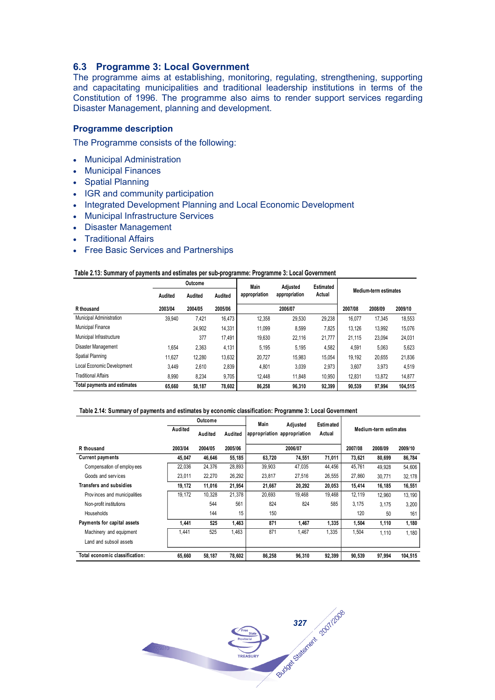## **6.3 Programme 3: Local Government**

The programme aims at establishing, monitoring, regulating, strengthening, supporting and capacitating municipalities and traditional leadership institutions in terms of the Constitution of 1996. The programme also aims to render support services regarding Disaster Management, planning and development.

## **Programme description**

The Programme consists of the following:

- Municipal Administration
- Municipal Finances
- Spatial Planning
- IGR and community participation
- Integrated Development Planning and Local Economic Development
- Municipal Infrastructure Services
- Disaster Management
- Traditional Affairs
- Free Basic Services and Partnerships

#### **Table 2.13: Summary of payments and estimates per sub-programme: Programme 3: Local Government**

|                              | Outcome<br>Main |         |         | Adiusted<br><b>Estimated</b> |               |        |         |                       |         |
|------------------------------|-----------------|---------|---------|------------------------------|---------------|--------|---------|-----------------------|---------|
|                              | Audited         | Audited | Audited | appropriation                | appropriation | Actual |         | Medium-term estimates |         |
| R thousand                   | 2003/04         | 2004/05 | 2005/06 |                              | 2006/07       |        | 2007/08 | 2008/09               | 2009/10 |
| Municipal Administration     | 39.940          | 7,421   | 16,473  | 12.358                       | 29.530        | 29,238 | 16.077  | 17.345                | 18,553  |
| <b>Municipal Finance</b>     |                 | 24.902  | 14,331  | 11.099                       | 8,599         | 7,825  | 13,126  | 13,992                | 15,076  |
| Municipal Infrastructure     |                 | 377     | 17.491  | 19,630                       | 22.116        | 21.777 | 21,115  | 23,094                | 24,031  |
| Disaster Management          | .654            | 2,363   | 4,131   | 5.195                        | 5,195         | 4,582  | 4,591   | 5,063                 | 5,623   |
| Spatial Planning             | 11.627          | 12,280  | 13.632  | 20.727                       | 15.983        | 15,054 | 19.192  | 20,655                | 21,836  |
| Local Economic Development   | 3,449           | 2,610   | 2.839   | 4,801                        | 3,039         | 2,973  | 3,607   | 3,973                 | 4,519   |
| Traditional Affairs          | 8,990           | 8,234   | 9,705   | 12.448                       | 11,848        | 10,950 | 12,831  | 13,872                | 14,877  |
| Total payments and estimates | 65.660          | 58.187  | 78,602  | 86.258                       | 96.310        | 92.399 | 90.539  | 97.994                | 104.515 |

#### **Table 2.14: Summary of payments and estimates by economic classification: Programme 3: Local Government**

|                                |         | Outcome |         | Main   | Adjusted                    | Estimated |         |                       |         |
|--------------------------------|---------|---------|---------|--------|-----------------------------|-----------|---------|-----------------------|---------|
|                                | Audited | Audited | Audited |        | appropriation appropriation | Actual    |         | Medium-term estimates |         |
| R thousand                     | 2003/04 | 2004/05 | 2005/06 |        | 2006/07                     |           | 2007/08 | 2008/09               | 2009/10 |
| <b>Current payments</b>        | 45,047  | 46.646  | 55,185  | 63,720 | 74,551                      | 71,011    | 73,621  | 80,699                | 86,784  |
| Compensation of employees      | 22.036  | 24,376  | 28,893  | 39,903 | 47,035                      | 44,456    | 45,761  | 49.928                | 54,606  |
| Goods and services             | 23,011  | 22,270  | 26,292  | 23,817 | 27,516                      | 26,555    | 27,860  | 30.771                | 32,178  |
| <b>Transfers and subsidies</b> | 19.172  | 11.016  | 21.954  | 21.667 | 20.292                      | 20.053    | 15.414  | 16.185                | 16,551  |
| Provinces and municipalities   | 19,172  | 10,328  | 21,378  | 20.693 | 19,468                      | 19,468    | 12,119  | 12.960                | 13,190  |
| Non-profit institutions        |         | 544     | 561     | 824    | 824                         | 585       | 3,175   | 3.175                 | 3,200   |
| Households                     |         | 144     | 15      | 150    |                             |           | 120     | 50                    | 161     |
| Payments for capital assets    | 1.441   | 525     | 1,463   | 871    | 1.467                       | 1.335     | 1.504   | 1,110                 | 1,180   |
| Machinery and equipment        | 1,441   | 525     | 1,463   | 871    | 1,467                       | 1,335     | 1,504   | 1.110                 | 1,180   |
| Land and subsoil assets        |         |         |         |        |                             |           |         |                       |         |
| Total economic classification: | 65.660  | 58.187  | 78.602  | 86.258 | 96.310                      | 92.399    | 90.539  | 97.994                | 104.515 |

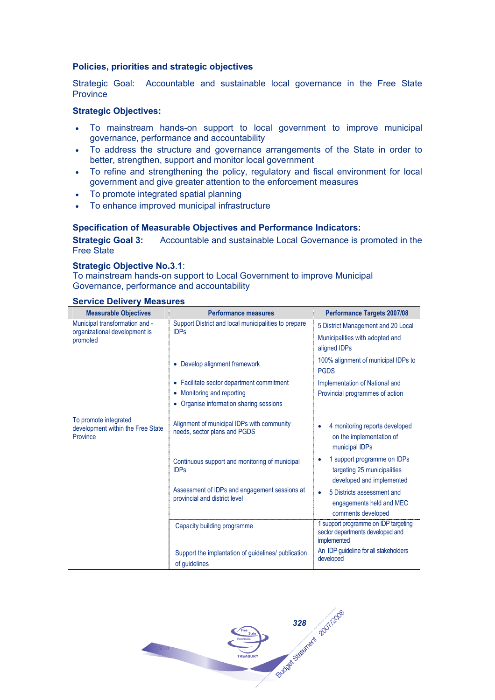#### **Policies, priorities and strategic objectives**

Strategic Goal: Accountable and sustainable local governance in the Free State **Province** 

#### **Strategic Objectives:**

- To mainstream hands-on support to local government to improve municipal governance, performance and accountability
- To address the structure and governance arrangements of the State in order to better, strengthen, support and monitor local government
- To refine and strengthening the policy, regulatory and fiscal environment for local government and give greater attention to the enforcement measures
- To promote integrated spatial planning
- To enhance improved municipal infrastructure

#### **Specification of Measurable Objectives and Performance Indicators:**

**Strategic Goal 3:** Accountable and sustainable Local Governance is promoted in the Free State

#### **Strategic Objective No.3**.**1**:

To mainstream hands-on support to Local Government to improve Municipal Governance, performance and accountability

| <b>Measurable Objectives</b>                                           | <b>Performance measures</b>                                                    | <b>Performance Targets 2007/08</b>                                                           |
|------------------------------------------------------------------------|--------------------------------------------------------------------------------|----------------------------------------------------------------------------------------------|
| Municipal transformation and -                                         | Support District and local municipalities to prepare<br><b>IDPs</b>            | 5 District Management and 20 Local                                                           |
| organizational development is<br>promoted                              |                                                                                | Municipalities with adopted and                                                              |
|                                                                        |                                                                                | aligned IDPs                                                                                 |
|                                                                        | • Develop alignment framework                                                  | 100% alignment of municipal IDPs to<br><b>PGDS</b>                                           |
|                                                                        | • Facilitate sector department commitment                                      | Implementation of National and                                                               |
|                                                                        | • Monitoring and reporting                                                     | Provincial programmes of action                                                              |
|                                                                        | • Organise information sharing sessions                                        |                                                                                              |
| To promote integrated<br>development within the Free State<br>Province | Alignment of municipal IDPs with community<br>needs, sector plans and PGDS     | 4 monitoring reports developed<br>$\bullet$<br>on the implementation of<br>municipal IDPs    |
|                                                                        | Continuous support and monitoring of municipal<br><b>IDPs</b>                  | 1 support programme on IDPs<br>٠<br>targeting 25 municipalities<br>developed and implemented |
|                                                                        | Assessment of IDPs and engagement sessions at<br>provincial and district level | 5 Districts assessment and<br>$\bullet$<br>engagements held and MEC<br>comments developed    |
|                                                                        | Capacity building programme                                                    | 1 support programme on IDP targeting<br>sector departments developed and<br>implemented      |
|                                                                        | Support the implantation of guidelines/ publication<br>of quidelines           | An IDP guideline for all stakeholders<br>developed                                           |

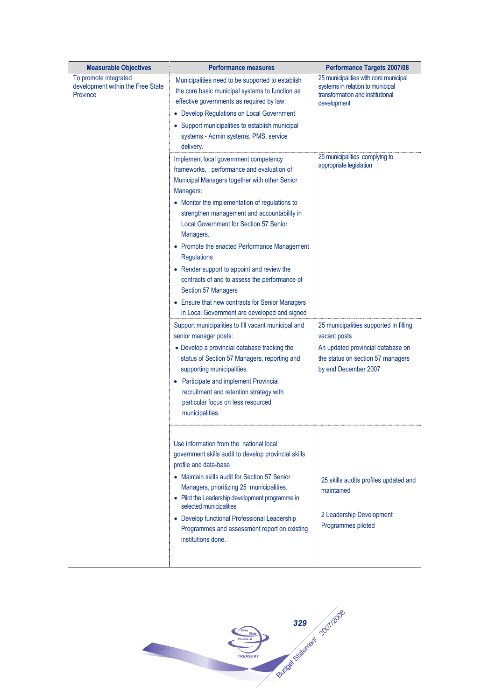| <b>Measurable Objectives</b>                                           | <b>Performance measures</b>                                                                                                                                                                                                                         | <b>Performance Targets 2007/08</b>                                                                                           |
|------------------------------------------------------------------------|-----------------------------------------------------------------------------------------------------------------------------------------------------------------------------------------------------------------------------------------------------|------------------------------------------------------------------------------------------------------------------------------|
| To promote integrated<br>development within the Free State<br>Province | Municipalities need to be supported to establish<br>the core basic municipal systems to function as<br>effective governments as required by law:                                                                                                    | 25 municipalities with core municipal<br>systems in relation to municipal<br>transformation and institutional<br>development |
|                                                                        | • Develop Regulations on Local Government                                                                                                                                                                                                           |                                                                                                                              |
|                                                                        | • Support municipalities to establish municipal<br>systems - Admin systems, PMS, service<br>delivery.                                                                                                                                               |                                                                                                                              |
|                                                                        | Implement local government competency<br>frameworks, , performance and evaluation of<br>Municipal Managers together with other Senior<br>Managers:<br>• Monitor the implementation of regulations to<br>strengthen management and accountability in | 25 municipalities complying to<br>appropriate legislation                                                                    |
|                                                                        | <b>Local Government for Section 57 Senior</b><br>Managers.                                                                                                                                                                                          |                                                                                                                              |
|                                                                        | • Promote the enacted Performance Management<br><b>Regulations</b>                                                                                                                                                                                  |                                                                                                                              |
|                                                                        | • Render support to appoint and review the<br>contracts of and to assess the performance of<br>Section 57 Managers                                                                                                                                  |                                                                                                                              |
|                                                                        | • Ensure that new contracts for Senior Managers<br>in Local Government are developed and signed                                                                                                                                                     |                                                                                                                              |
|                                                                        | Support municipalities to fill vacant municipal and<br>senior manager posts:                                                                                                                                                                        | 25 municipalities supported in filling<br>vacant posts                                                                       |
|                                                                        | • Develop a provincial database tracking the<br>status of Section 57 Managers, reporting and<br>supporting municipalities.                                                                                                                          | An updated provincial database on<br>the status on section 57 managers<br>by end December 2007                               |
|                                                                        | • Participate and implement Provincial<br>recruitment and retention strategy with<br>particular focus on less resourced<br>municipalities.                                                                                                          |                                                                                                                              |
|                                                                        | Use information from the national local<br>government skills audit to develop provincial skills<br>profile and data-base                                                                                                                            |                                                                                                                              |
|                                                                        | • Maintain skills audit for Section 57 Senior<br>Managers, prioritizing 25 municipalities.<br>• Pilot the Leadership development programme in                                                                                                       | 25 skills audits profiles updated and<br>maintained                                                                          |
|                                                                        | selected municipalities<br>• Develop functional Professional Leadership<br>Programmes and assessment report on existing<br>institutions done.                                                                                                       | 2 Leadership Development<br>Programmes piloted                                                                               |
|                                                                        |                                                                                                                                                                                                                                                     |                                                                                                                              |

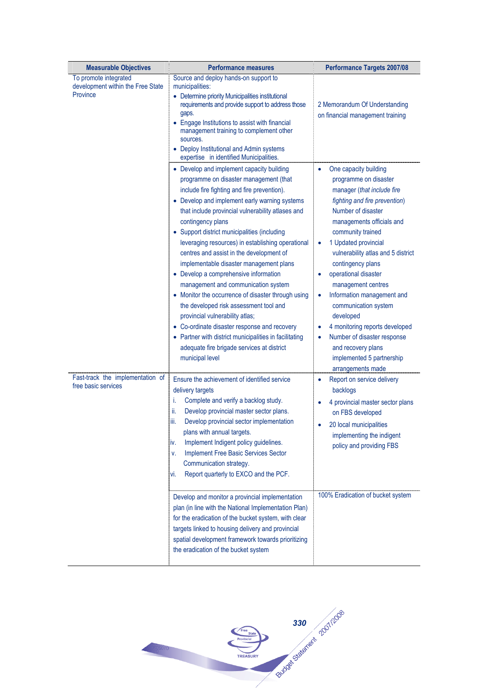| <b>Measurable Objectives</b>                                           | <b>Performance measures</b>                                                                                                                                                                                                                                                                                                                                                                                                                                                                                                                                                                                                                                                                                                                                                                                                                             | <b>Performance Targets 2007/08</b>                                                                                                                                                                                                                                                                                                                                                                                                                                                                                                           |
|------------------------------------------------------------------------|---------------------------------------------------------------------------------------------------------------------------------------------------------------------------------------------------------------------------------------------------------------------------------------------------------------------------------------------------------------------------------------------------------------------------------------------------------------------------------------------------------------------------------------------------------------------------------------------------------------------------------------------------------------------------------------------------------------------------------------------------------------------------------------------------------------------------------------------------------|----------------------------------------------------------------------------------------------------------------------------------------------------------------------------------------------------------------------------------------------------------------------------------------------------------------------------------------------------------------------------------------------------------------------------------------------------------------------------------------------------------------------------------------------|
| To promote integrated<br>development within the Free State<br>Province | Source and deploy hands-on support to<br>municipalities:<br>• Determine priority Municipalities institutional<br>requirements and provide support to address those<br>gaps.<br>• Engage Institutions to assist with financial<br>management training to complement other<br>sources.<br>• Deploy Institutional and Admin systems<br>expertise in identified Municipalities.                                                                                                                                                                                                                                                                                                                                                                                                                                                                             | 2 Memorandum Of Understanding<br>on financial management training                                                                                                                                                                                                                                                                                                                                                                                                                                                                            |
|                                                                        | • Develop and implement capacity building<br>programme on disaster management (that<br>include fire fighting and fire prevention).<br>• Develop and implement early warning systems<br>that include provincial vulnerability atlases and<br>contingency plans<br>• Support district municipalities (including<br>leveraging resources) in establishing operational<br>centres and assist in the development of<br>implementable disaster management plans<br>• Develop a comprehensive information<br>management and communication system<br>• Monitor the occurrence of disaster through using<br>the developed risk assessment tool and<br>provincial vulnerability atlas;<br>• Co-ordinate disaster response and recovery<br>• Partner with district municipalities in facilitating<br>adequate fire brigade services at district<br>municipal level | One capacity building<br>programme on disaster<br>manager (that include fire<br>fighting and fire prevention)<br>Number of disaster<br>managements officials and<br>community trained<br>1 Updated provincial<br>٠<br>vulnerability atlas and 5 district<br>contingency plans<br>operational disaster<br>management centres<br>Information management and<br>٠<br>communication system<br>developed<br>4 monitoring reports developed<br>Number of disaster response<br>and recovery plans<br>implemented 5 partnership<br>arrangements made |
| Fast-track the implementation of<br>free basic services                | Ensure the achievement of identified service<br>delivery targets<br>Complete and verify a backlog study.<br>i.<br>ii.<br>Develop provincial master sector plans.<br>Develop provincial sector implementation<br>iii.<br>plans with annual targets.<br>Implement Indigent policy guidelines.<br>iv.<br>Implement Free Basic Services Sector<br>v.<br>Communication strategy.<br>Report quarterly to EXCO and the PCF.<br>vi.<br>Develop and monitor a provincial implementation<br>plan (in line with the National Implementation Plan)<br>for the eradication of the bucket system, with clear<br>targets linked to housing delivery and provincial<br>spatial development framework towards prioritizing<br>the eradication of the bucket system                                                                                                       | Report on service delivery<br>٠<br>backlogs<br>4 provincial master sector plans<br>on FBS developed<br>20 local municipalities<br>implementing the indigent<br>policy and providing FBS<br>100% Eradication of bucket system                                                                                                                                                                                                                                                                                                                 |

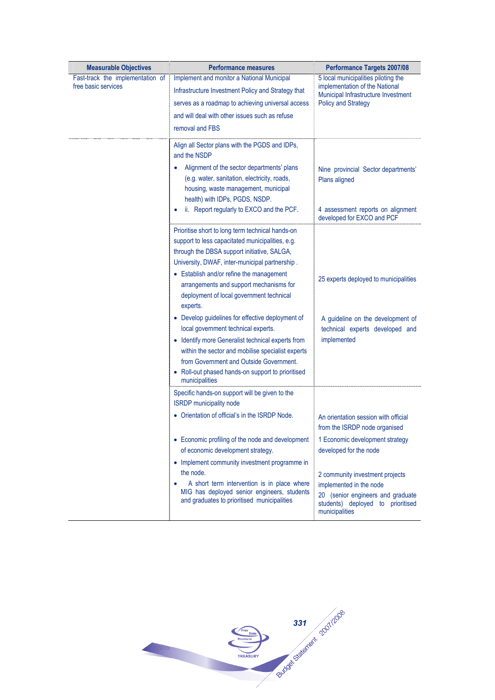| <b>Measurable Objectives</b>     | <b>Performance measures</b>                                                                                                                                                                                              | <b>Performance Targets 2007/08</b>                                                                                                                     |
|----------------------------------|--------------------------------------------------------------------------------------------------------------------------------------------------------------------------------------------------------------------------|--------------------------------------------------------------------------------------------------------------------------------------------------------|
| Fast-track the implementation of | Implement and monitor a National Municipal                                                                                                                                                                               | 5 local municipalities piloting the                                                                                                                    |
| free basic services              | Infrastructure Investment Policy and Strategy that                                                                                                                                                                       | implementation of the National<br>Municipal Infrastructure Investment                                                                                  |
|                                  | serves as a roadmap to achieving universal access                                                                                                                                                                        | <b>Policy and Strategy</b>                                                                                                                             |
|                                  | and will deal with other issues such as refuse                                                                                                                                                                           |                                                                                                                                                        |
|                                  | removal and FBS                                                                                                                                                                                                          |                                                                                                                                                        |
|                                  | Align all Sector plans with the PGDS and IDPs,<br>and the NSDP                                                                                                                                                           |                                                                                                                                                        |
|                                  | Alignment of the sector departments' plans<br>(e.g. water, sanitation, electricity, roads,<br>housing, waste management, municipal<br>health) with IDPs, PGDS, NSDP.                                                     | Nine provincial Sector departments'<br>Plans aligned                                                                                                   |
|                                  | ii. Report regularly to EXCO and the PCF.                                                                                                                                                                                | 4 assessment reports on alignment<br>developed for EXCO and PCF                                                                                        |
|                                  | Prioritise short to long term technical hands-on<br>support to less capacitated municipalities, e.g.<br>through the DBSA support initiative, SALGA,<br>University, DWAF, inter-municipal partnership.                    |                                                                                                                                                        |
|                                  | • Establish and/or refine the management<br>arrangements and support mechanisms for<br>deployment of local government technical<br>experts.                                                                              | 25 experts deployed to municipalities                                                                                                                  |
|                                  | • Develop guidelines for effective deployment of<br>local government technical experts.                                                                                                                                  | A guideline on the development of<br>technical experts developed and                                                                                   |
|                                  | • Identify more Generalist technical experts from<br>within the sector and mobilise specialist experts<br>from Government and Outside Government.<br>• Roll-out phased hands-on support to prioritised<br>municipalities | implemented                                                                                                                                            |
|                                  | Specific hands-on support will be given to the<br><b>ISRDP</b> municipality node                                                                                                                                         |                                                                                                                                                        |
|                                  | • Orientation of official's in the ISRDP Node.                                                                                                                                                                           | An orientation session with official<br>from the ISRDP node organised                                                                                  |
|                                  | • Economic profiling of the node and development<br>of economic development strategy.                                                                                                                                    | 1 Economic development strategy<br>developed for the node                                                                                              |
|                                  | • Implement community investment programme in<br>the node.<br>A short term intervention is in place where<br>٠<br>MIG has deployed senior engineers, students<br>and graduates to prioritised municipalities             | 2 community investment projects<br>implemented in the node<br>20 (senior engineers and graduate<br>students) deployed to prioritised<br>municipalities |

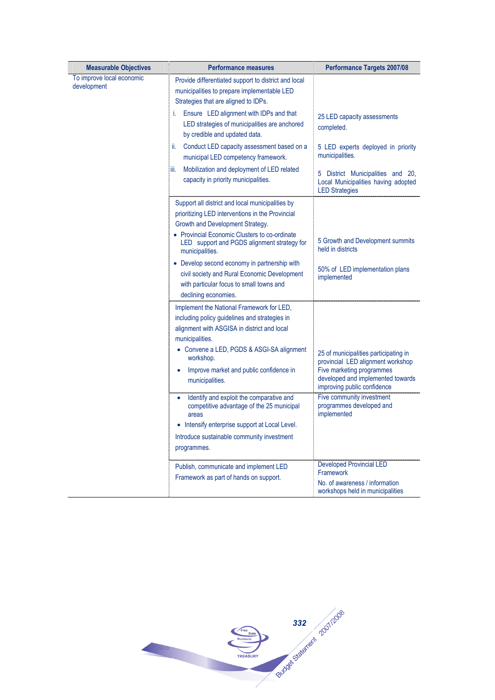| <b>Measurable Objectives</b>             | <b>Performance measures</b>                                                                                                                                                                                                                                                                       | Performance Targets 2007/08                                                                                                                                                 |
|------------------------------------------|---------------------------------------------------------------------------------------------------------------------------------------------------------------------------------------------------------------------------------------------------------------------------------------------------|-----------------------------------------------------------------------------------------------------------------------------------------------------------------------------|
| To improve local economic<br>development | Provide differentiated support to district and local<br>municipalities to prepare implementable LED<br>Strategies that are aligned to IDPs.                                                                                                                                                       |                                                                                                                                                                             |
|                                          | Ensure LED alignment with IDPs and that<br>i.<br>LED strategies of municipalities are anchored<br>by credible and updated data.                                                                                                                                                                   | 25 LED capacity assessments<br>completed.                                                                                                                                   |
|                                          | Conduct LED capacity assessment based on a<br>ii.<br>municipal LED competency framework.                                                                                                                                                                                                          | 5 LED experts deployed in priority<br>municipalities.                                                                                                                       |
|                                          | Mobilization and deployment of LED related<br>iii.<br>capacity in priority municipalities.                                                                                                                                                                                                        | 5 District Municipalities and 20,<br>Local Municipalities having adopted<br><b>LED Strategies</b>                                                                           |
|                                          | Support all district and local municipalities by<br>prioritizing LED interventions in the Provincial<br>Growth and Development Strategy.                                                                                                                                                          |                                                                                                                                                                             |
|                                          | • Provincial Economic Clusters to co-ordinate<br>LED support and PGDS alignment strategy for<br>municipalities.                                                                                                                                                                                   | 5 Growth and Development summits<br>held in districts                                                                                                                       |
|                                          | • Develop second economy in partnership with<br>civil society and Rural Economic Development<br>with particular focus to small towns and<br>declining economies.                                                                                                                                  | 50% of LED implementation plans<br>implemented                                                                                                                              |
|                                          | Implement the National Framework for LED,<br>including policy guidelines and strategies in<br>alignment with ASGISA in district and local<br>municipalities.<br>• Convene a LED, PGDS & ASGI-SA alignment<br>workshop.<br>Improve market and public confidence in<br>$\bullet$<br>municipalities. | 25 of municipalities participating in<br>provincial LED alignment workshop<br>Five marketing programmes<br>developed and implemented towards<br>improving public confidence |
|                                          | Identify and exploit the comparative and<br>competitive advantage of the 25 municipal<br>areas<br>Intensify enterprise support at Local Level.<br>Introduce sustainable community investment<br>programmes.                                                                                       | Five community investment<br>programmes developed and<br>implemented                                                                                                        |
|                                          | Publish, communicate and implement LED<br>Framework as part of hands on support.                                                                                                                                                                                                                  | <b>Developed Provincial LED</b><br>Framework<br>No. of awareness / information<br>workshops held in municipalities                                                          |

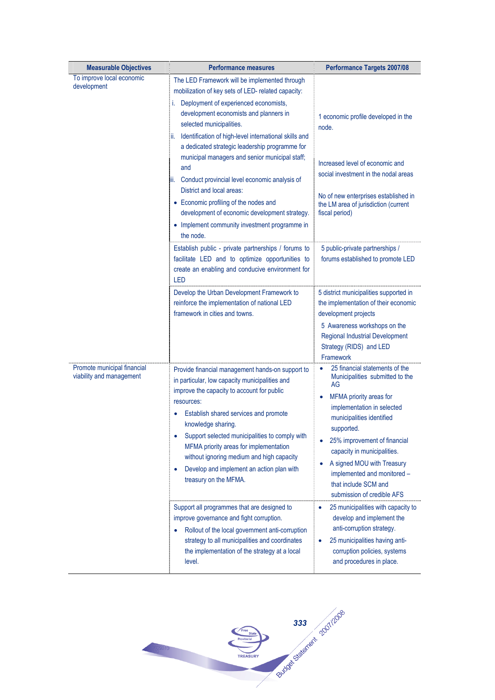| <b>Measurable Objectives</b>                            | <b>Performance measures</b>                                                                                                                                                                                                                                                                                                                                                                                                                                                                                                                                                                                                                    | <b>Performance Targets 2007/08</b>                                                                                                                                                                                                                                                                                                                                         |
|---------------------------------------------------------|------------------------------------------------------------------------------------------------------------------------------------------------------------------------------------------------------------------------------------------------------------------------------------------------------------------------------------------------------------------------------------------------------------------------------------------------------------------------------------------------------------------------------------------------------------------------------------------------------------------------------------------------|----------------------------------------------------------------------------------------------------------------------------------------------------------------------------------------------------------------------------------------------------------------------------------------------------------------------------------------------------------------------------|
| To improve local economic<br>development                | The LED Framework will be implemented through<br>mobilization of key sets of LED- related capacity:<br>i. Deployment of experienced economists,<br>development economists and planners in<br>selected municipalities.<br>Identification of high-level international skills and<br>II.<br>a dedicated strategic leadership programme for<br>municipal managers and senior municipal staff;<br>and<br>Conduct provincial level economic analysis of<br>III.<br>District and local areas:<br>• Economic profiling of the nodes and<br>development of economic development strategy.<br>• Implement community investment programme in<br>the node. | 1 economic profile developed in the<br>node.<br>Increased level of economic and<br>social investment in the nodal areas<br>No of new enterprises established in<br>the LM area of jurisdiction (current<br>fiscal period)                                                                                                                                                  |
|                                                         | Establish public - private partnerships / forums to<br>facilitate LED and to optimize opportunities to<br>create an enabling and conducive environment for<br><b>LED</b>                                                                                                                                                                                                                                                                                                                                                                                                                                                                       | 5 public-private partnerships /<br>forums established to promote LED                                                                                                                                                                                                                                                                                                       |
|                                                         | Develop the Urban Development Framework to<br>reinforce the implementation of national LED<br>framework in cities and towns.                                                                                                                                                                                                                                                                                                                                                                                                                                                                                                                   | 5 district municipalities supported in<br>the implementation of their economic<br>development projects<br>5 Awareness workshops on the<br><b>Regional Industrial Development</b><br>Strategy (RIDS) and LED<br><b>Framework</b>                                                                                                                                            |
| Promote municipal financial<br>viability and management | Provide financial management hands-on support to<br>in particular, low capacity municipalities and<br>improve the capacity to account for public<br>resources:<br>Establish shared services and promote<br>knowledge sharing.<br>Support selected municipalities to comply with<br>MFMA priority areas for implementation<br>without ignoring medium and high capacity<br>Develop and implement an action plan with<br>$\bullet$<br>treasury on the MFMA.                                                                                                                                                                                      | 25 financial statements of the<br>$\bullet$<br>Municipalities submitted to the<br>AG<br>MFMA priority areas for<br>implementation in selected<br>municipalities identified<br>supported.<br>25% improvement of financial<br>capacity in municipalities.<br>A signed MOU with Treasury<br>implemented and monitored -<br>that include SCM and<br>submission of credible AFS |
|                                                         | Support all programmes that are designed to<br>improve governance and fight corruption.<br>Rollout of the local government anti-corruption<br>strategy to all municipalities and coordinates<br>the implementation of the strategy at a local<br>level.                                                                                                                                                                                                                                                                                                                                                                                        | 25 municipalities with capacity to<br>٠<br>develop and implement the<br>anti-corruption strategy.<br>25 municipalities having anti-<br>٠<br>corruption policies, systems<br>and procedures in place.                                                                                                                                                                       |

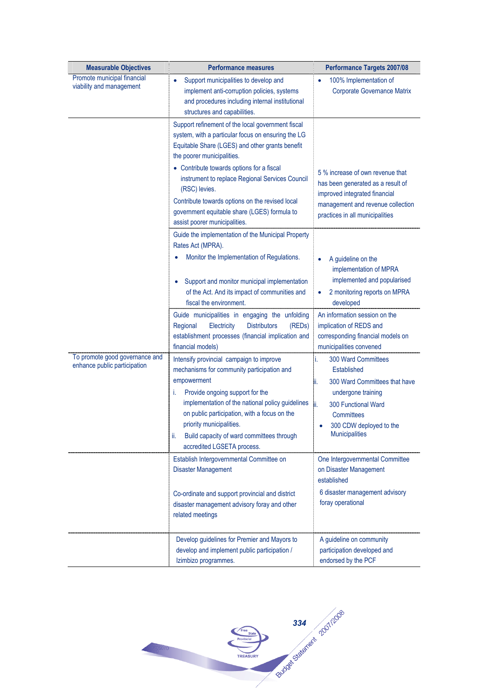| <b>Measurable Objectives</b>                                   | <b>Performance measures</b>                                                                                                                                                                                                                                                                                                                                     | <b>Performance Targets 2007/08</b>                                                                                                                                                                                         |
|----------------------------------------------------------------|-----------------------------------------------------------------------------------------------------------------------------------------------------------------------------------------------------------------------------------------------------------------------------------------------------------------------------------------------------------------|----------------------------------------------------------------------------------------------------------------------------------------------------------------------------------------------------------------------------|
| Promote municipal financial<br>viability and management        | Support municipalities to develop and<br>implement anti-corruption policies, systems<br>and procedures including internal institutional<br>structures and capabilities.                                                                                                                                                                                         | 100% Implementation of<br><b>Corporate Governance Matrix</b>                                                                                                                                                               |
|                                                                | Support refinement of the local government fiscal<br>system, with a particular focus on ensuring the LG<br>Equitable Share (LGES) and other grants benefit<br>the poorer municipalities.                                                                                                                                                                        |                                                                                                                                                                                                                            |
|                                                                | • Contribute towards options for a fiscal<br>instrument to replace Regional Services Council<br>(RSC) levies.<br>Contribute towards options on the revised local<br>government equitable share (LGES) formula to<br>assist poorer municipalities.                                                                                                               | 5 % increase of own revenue that<br>has been generated as a result of<br>improved integrated financial<br>management and revenue collection<br>practices in all municipalities                                             |
|                                                                | Guide the implementation of the Municipal Property<br>Rates Act (MPRA).<br>Monitor the Implementation of Regulations.                                                                                                                                                                                                                                           | A guideline on the                                                                                                                                                                                                         |
|                                                                | Support and monitor municipal implementation<br>of the Act. And its impact of communities and<br>fiscal the environment.                                                                                                                                                                                                                                        | implementation of MPRA<br>implemented and popularised<br>2 monitoring reports on MPRA<br>۰<br>developed                                                                                                                    |
|                                                                | Guide municipalities in engaging the unfolding<br>Regional<br>Electricity<br><b>Distributors</b><br>(REDs)<br>establishment processes (financial implication and<br>financial models)                                                                                                                                                                           | An information session on the<br>implication of REDS and<br>corresponding financial models on<br>municipalities convened                                                                                                   |
| To promote good governance and<br>enhance public participation | Intensify provincial campaign to improve<br>mechanisms for community participation and<br>empowerment<br>Provide ongoing support for the<br>Ť.<br>implementation of the national policy guidelines<br>on public participation, with a focus on the<br>priority municipalities.<br>Build capacity of ward committees through<br>Ш.<br>accredited LGSETA process. | <b>300 Ward Committees</b><br>i.<br>Established<br>300 Ward Committees that have<br>₩.<br>undergone training<br>300 Functional Ward<br>lii.<br>Committees<br>300 CDW deployed to the<br>$\bullet$<br><b>Municipalities</b> |
|                                                                | Establish Intergovernmental Committee on<br><b>Disaster Management</b>                                                                                                                                                                                                                                                                                          | One Intergovernmental Committee<br>on Disaster Management<br>established                                                                                                                                                   |
|                                                                | Co-ordinate and support provincial and district<br>disaster management advisory foray and other<br>related meetings                                                                                                                                                                                                                                             | 6 disaster management advisory<br>foray operational                                                                                                                                                                        |
|                                                                | Develop guidelines for Premier and Mayors to<br>develop and implement public participation /<br>Izimbizo programmes.                                                                                                                                                                                                                                            | A guideline on community<br>participation developed and<br>endorsed by the PCF                                                                                                                                             |

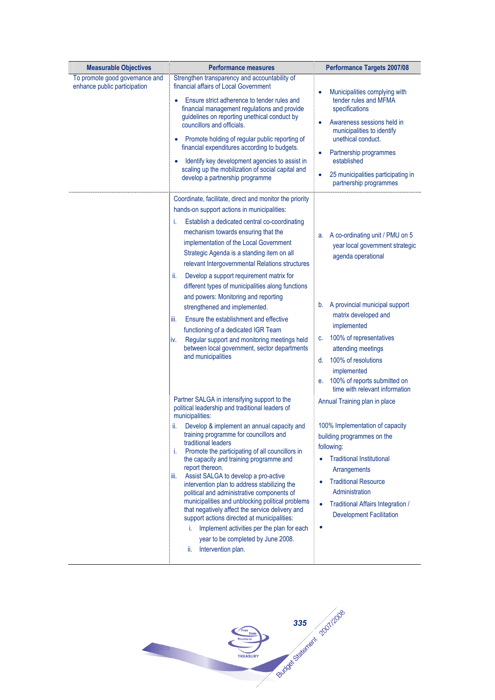| <b>Measurable Objectives</b>                                   | <b>Performance measures</b>                                                                                                                                                                                                                                                                                                                                                                                                                                                                                                                                                                                                                                                                                                                                                                | <b>Performance Targets 2007/08</b>                                                                                                                                                                                                                                                                                                                 |
|----------------------------------------------------------------|--------------------------------------------------------------------------------------------------------------------------------------------------------------------------------------------------------------------------------------------------------------------------------------------------------------------------------------------------------------------------------------------------------------------------------------------------------------------------------------------------------------------------------------------------------------------------------------------------------------------------------------------------------------------------------------------------------------------------------------------------------------------------------------------|----------------------------------------------------------------------------------------------------------------------------------------------------------------------------------------------------------------------------------------------------------------------------------------------------------------------------------------------------|
| To promote good governance and<br>enhance public participation | Strengthen transparency and accountability of<br>financial affairs of Local Government<br>Ensure strict adherence to tender rules and<br>financial management regulations and provide<br>guidelines on reporting unethical conduct by<br>councillors and officials.<br>Promote holding of regular public reporting of<br>financial expenditures according to budgets.<br>Identify key development agencies to assist in<br>scaling up the mobilization of social capital and<br>develop a partnership programme                                                                                                                                                                                                                                                                            | Municipalities complying with<br>tender rules and MFMA<br>specifications<br>Awareness sessions held in<br>municipalities to identify<br>unethical conduct.<br>Partnership programmes<br>٠<br>established<br>25 municipalities participating in<br>partnership programmes                                                                           |
|                                                                | Coordinate, facilitate, direct and monitor the priority<br>hands-on support actions in municipalities:<br>Establish a dedicated central co-coordinating<br>i.<br>mechanism towards ensuring that the<br>implementation of the Local Government<br>Strategic Agenda is a standing item on all<br>relevant Intergovernmental Relations structures<br>Develop a support requirement matrix for<br>ii.<br>different types of municipalities along functions<br>and powers: Monitoring and reporting<br>strengthened and implemented.<br>Ensure the establishment and effective<br>iii.<br>functioning of a dedicated IGR Team<br>Regular support and monitoring meetings held<br>İV.<br>between local government, sector departments<br>and municipalities                                     | a. A co-ordinating unit / PMU on 5<br>year local government strategic<br>agenda operational<br>b. A provincial municipal support<br>matrix developed and<br>implemented<br>100% of representatives<br>C.<br>attending meetings<br>100% of resolutions<br>d.<br>implemented<br>100% of reports submitted on<br>е.<br>time with relevant information |
|                                                                | Partner SALGA in intensifying support to the<br>political leadership and traditional leaders of<br>municipalities:<br>Develop & implement an annual capacity and<br>ii.<br>training programme for councillors and<br>traditional leaders<br>Promote the participating of all councillors in<br>i.<br>the capacity and training programme and<br>report thereon.<br>Assist SALGA to develop a pro-active<br>iii.<br>intervention plan to address stabilizing the<br>political and administrative components of<br>municipalities and unblocking political problems<br>that negatively affect the service delivery and<br>support actions directed at municipalities:<br>Implement activities per the plan for each<br>i.<br>year to be completed by June 2008.<br>Intervention plan.<br>ii. | Annual Training plan in place<br>100% Implementation of capacity<br>building programmes on the<br>following:<br><b>Traditional Institutional</b><br>$\bullet$<br>Arrangements<br><b>Traditional Resource</b><br>٠<br>Administration<br>Traditional Affairs Integration /<br>$\bullet$<br><b>Development Facilitation</b><br>٠                      |

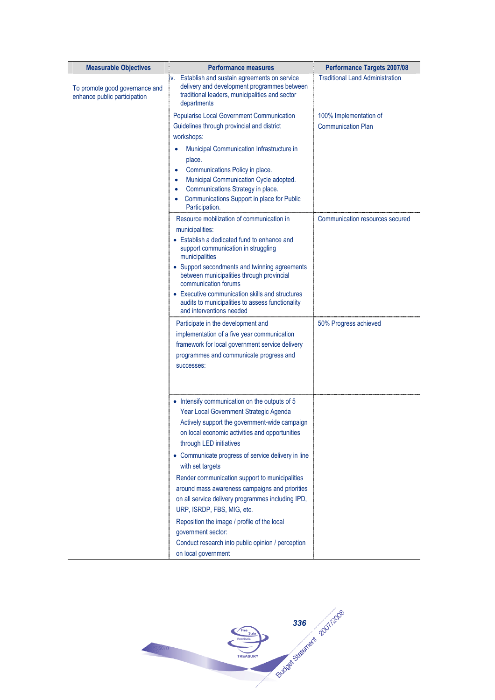| <b>Measurable Objectives</b>                                   | <b>Performance measures</b>                                                                                                                                     | <b>Performance Targets 2007/08</b>     |
|----------------------------------------------------------------|-----------------------------------------------------------------------------------------------------------------------------------------------------------------|----------------------------------------|
| To promote good governance and<br>enhance public participation | iv. Establish and sustain agreements on service<br>delivery and development programmes between<br>traditional leaders, municipalities and sector<br>departments | <b>Traditional Land Administration</b> |
|                                                                | <b>Popularise Local Government Communication</b>                                                                                                                | 100% Implementation of                 |
|                                                                | Guidelines through provincial and district                                                                                                                      | <b>Communication Plan</b>              |
|                                                                | workshops:                                                                                                                                                      |                                        |
|                                                                | Municipal Communication Infrastructure in                                                                                                                       |                                        |
|                                                                | place.                                                                                                                                                          |                                        |
|                                                                | Communications Policy in place.<br>٠<br>Municipal Communication Cycle adopted.                                                                                  |                                        |
|                                                                | Communications Strategy in place.<br>٠                                                                                                                          |                                        |
|                                                                | Communications Support in place for Public<br>Participation.                                                                                                    |                                        |
|                                                                | Resource mobilization of communication in<br>municipalities:                                                                                                    | Communication resources secured        |
|                                                                | • Establish a dedicated fund to enhance and<br>support communication in struggling<br>municipalities                                                            |                                        |
|                                                                | • Support secondments and twinning agreements<br>between municipalities through provincial<br>communication forums                                              |                                        |
|                                                                | • Executive communication skills and structures<br>audits to municipalities to assess functionality<br>and interventions needed                                 |                                        |
|                                                                | Participate in the development and                                                                                                                              | 50% Progress achieved                  |
|                                                                | implementation of a five year communication                                                                                                                     |                                        |
|                                                                | framework for local government service delivery                                                                                                                 |                                        |
|                                                                | programmes and communicate progress and<br>successes:                                                                                                           |                                        |
|                                                                |                                                                                                                                                                 |                                        |
|                                                                | • Intensify communication on the outputs of 5                                                                                                                   |                                        |
|                                                                | Year Local Government Strategic Agenda<br>Actively support the government-wide campaign                                                                         |                                        |
|                                                                | on local economic activities and opportunities                                                                                                                  |                                        |
|                                                                | through LED initiatives                                                                                                                                         |                                        |
|                                                                | • Communicate progress of service delivery in line<br>with set targets                                                                                          |                                        |
|                                                                | Render communication support to municipalities                                                                                                                  |                                        |
|                                                                | around mass awareness campaigns and priorities                                                                                                                  |                                        |
|                                                                | on all service delivery programmes including IPD,<br>URP, ISRDP, FBS, MIG, etc.                                                                                 |                                        |
|                                                                | Reposition the image / profile of the local                                                                                                                     |                                        |
|                                                                | government sector:                                                                                                                                              |                                        |
|                                                                | Conduct research into public opinion / perception<br>on local government                                                                                        |                                        |
|                                                                |                                                                                                                                                                 |                                        |

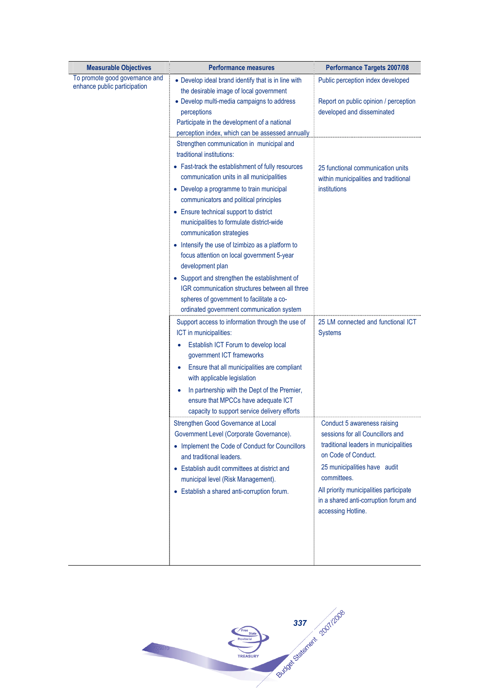| <b>Measurable Objectives</b>                                   | <b>Performance measures</b>                                                                                        | <b>Performance Targets 2007/08</b>                           |
|----------------------------------------------------------------|--------------------------------------------------------------------------------------------------------------------|--------------------------------------------------------------|
| To promote good governance and<br>enhance public participation | • Develop ideal brand identify that is in line with<br>the desirable image of local government                     | Public perception index developed                            |
|                                                                | • Develop multi-media campaigns to address                                                                         | Report on public opinion / perception                        |
|                                                                | perceptions                                                                                                        | developed and disseminated                                   |
|                                                                | Participate in the development of a national                                                                       |                                                              |
|                                                                | perception index, which can be assessed annually<br>Strengthen communication in municipal and                      |                                                              |
|                                                                | traditional institutions:                                                                                          |                                                              |
|                                                                | • Fast-track the establishment of fully resources                                                                  | 25 functional communication units                            |
|                                                                | communication units in all municipalities                                                                          | within municipalities and traditional                        |
|                                                                | • Develop a programme to train municipal<br>communicators and political principles                                 | institutions                                                 |
|                                                                | • Ensure technical support to district                                                                             |                                                              |
|                                                                | municipalities to formulate district-wide<br>communication strategies                                              |                                                              |
|                                                                | • Intensify the use of Izimbizo as a platform to<br>focus attention on local government 5-year<br>development plan |                                                              |
|                                                                | • Support and strengthen the establishment of                                                                      |                                                              |
|                                                                | IGR communication structures between all three                                                                     |                                                              |
|                                                                | spheres of government to facilitate a co-                                                                          |                                                              |
|                                                                | ordinated government communication system                                                                          |                                                              |
|                                                                | Support access to information through the use of<br>ICT in municipalities:                                         | 25 LM connected and functional ICT<br><b>Systems</b>         |
|                                                                | Establish ICT Forum to develop local<br>$\bullet$<br>government ICT frameworks                                     |                                                              |
|                                                                | Ensure that all municipalities are compliant<br>with applicable legislation                                        |                                                              |
|                                                                | In partnership with the Dept of the Premier,                                                                       |                                                              |
|                                                                | ensure that MPCCs have adequate ICT                                                                                |                                                              |
|                                                                | capacity to support service delivery efforts                                                                       |                                                              |
|                                                                | Strengthen Good Governance at Local                                                                                | Conduct 5 awareness raising                                  |
|                                                                | Government Level (Corporate Governance).                                                                           | sessions for all Councillors and                             |
|                                                                | • Implement the Code of Conduct for Councillors<br>and traditional leaders.                                        | traditional leaders in municipalities<br>on Code of Conduct. |
|                                                                | • Establish audit committees at district and                                                                       | 25 municipalities have audit                                 |
|                                                                | municipal level (Risk Management).                                                                                 | committees.                                                  |
|                                                                | • Establish a shared anti-corruption forum.                                                                        | All priority municipalities participate                      |
|                                                                |                                                                                                                    | in a shared anti-corruption forum and                        |
|                                                                |                                                                                                                    | accessing Hotline.                                           |
|                                                                |                                                                                                                    |                                                              |
|                                                                |                                                                                                                    |                                                              |
|                                                                |                                                                                                                    |                                                              |

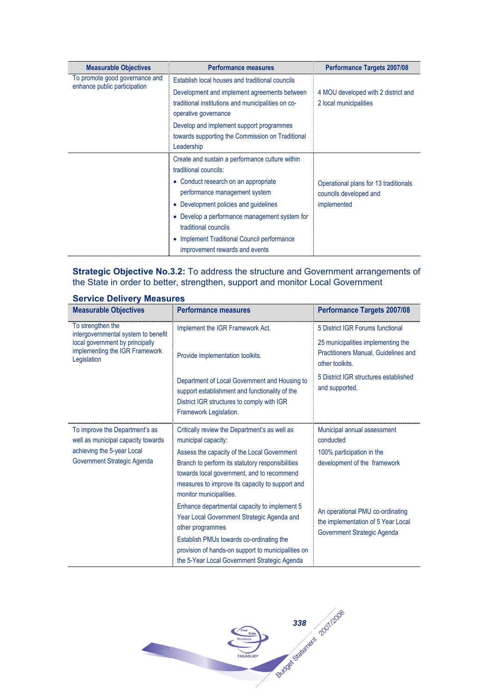| <b>Measurable Objectives</b>                                   | <b>Performance measures</b>                                                                                                | <b>Performance Targets 2007/08</b>                              |
|----------------------------------------------------------------|----------------------------------------------------------------------------------------------------------------------------|-----------------------------------------------------------------|
| To promote good governance and<br>enhance public participation | Establish local houses and traditional councils                                                                            |                                                                 |
|                                                                | Development and implement agreements between<br>traditional institutions and municipalities on co-<br>operative governance | 4 MOU developed with 2 district and<br>2 local municipalities   |
|                                                                | Develop and implement support programmes<br>towards supporting the Commission on Traditional<br>Leadership                 |                                                                 |
|                                                                | Create and sustain a performance culture within<br>traditional councils:                                                   |                                                                 |
|                                                                | • Conduct research on an appropriate<br>performance management system                                                      | Operational plans for 13 traditionals<br>councils developed and |
|                                                                | • Development policies and guidelines                                                                                      | implemented                                                     |
|                                                                | • Develop a performance management system for<br>traditional councils                                                      |                                                                 |
|                                                                | Implement Traditional Council performance<br>improvement rewards and events                                                |                                                                 |

## **Strategic Objective No.3.2:** To address the structure and Government arrangements of the State in order to better, strengthen, support and monitor Local Government

| <b>Measurable Objectives</b>                                                                                                      | <b>Performance measures</b>                                                                                                                                                                                                                                                                         | <b>Performance Targets 2007/08</b>                                                                    |
|-----------------------------------------------------------------------------------------------------------------------------------|-----------------------------------------------------------------------------------------------------------------------------------------------------------------------------------------------------------------------------------------------------------------------------------------------------|-------------------------------------------------------------------------------------------------------|
| To strengthen the<br>intergovernmental system to benefit                                                                          | Implement the IGR Framework Act.                                                                                                                                                                                                                                                                    | 5 District IGR Forums functional                                                                      |
| local government by principally<br>implementing the IGR Framework<br>Legislation                                                  | Provide implementation toolkits.                                                                                                                                                                                                                                                                    | 25 municipalities implementing the<br>Practitioners Manual, Guidelines and<br>other toolkits.         |
|                                                                                                                                   | Department of Local Government and Housing to<br>support establishment and functionality of the<br>District IGR structures to comply with IGR<br>Framework Legislation.                                                                                                                             | 5 District IGR structures established<br>and supported.                                               |
| To improve the Department's as<br>well as municipal capacity towards<br>achieving the 5-year Local<br>Government Strategic Agenda | Critically review the Department's as well as<br>municipal capacity:<br>Assess the capacity of the Local Government<br>Branch to perform its statutory responsibilities<br>towards local government, and to recommend<br>measures to improve its capacity to support and<br>monitor municipalities. | Municipal annual assessment<br>conducted<br>100% participation in the<br>development of the framework |
|                                                                                                                                   | Enhance departmental capacity to implement 5<br>Year Local Government Strategic Agenda and<br>other programmes<br>Establish PMUs towards co-ordinating the<br>provision of hands-on support to municipalities on<br>the 5-Year Local Government Strategic Agenda                                    | An operational PMU co-ordinating<br>the implementation of 5 Year Local<br>Government Strategic Agenda |

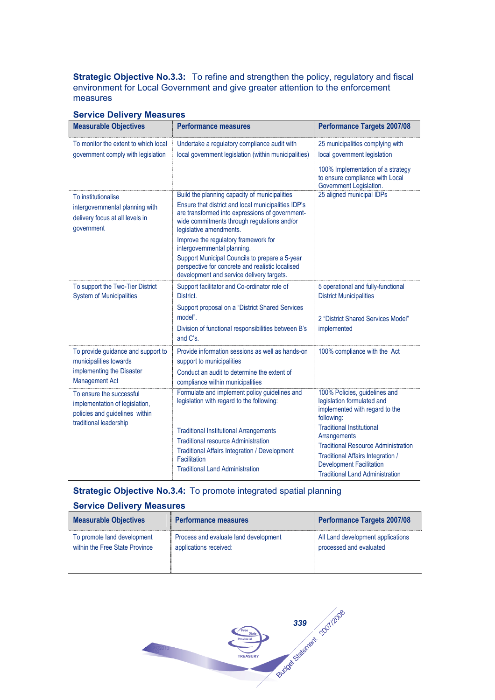**Strategic Objective No.3.3:** To refine and strengthen the policy, regulatory and fiscal environment for Local Government and give greater attention to the enforcement measures

| <b>Measurable Objectives</b>                                                                                           | <b>Performance measures</b>                                                                                                                                                                                                                                                                                                                                                                                                                                 | <b>Performance Targets 2007/08</b>                                                                                                                                                                                                                                                           |
|------------------------------------------------------------------------------------------------------------------------|-------------------------------------------------------------------------------------------------------------------------------------------------------------------------------------------------------------------------------------------------------------------------------------------------------------------------------------------------------------------------------------------------------------------------------------------------------------|----------------------------------------------------------------------------------------------------------------------------------------------------------------------------------------------------------------------------------------------------------------------------------------------|
| To monitor the extent to which local<br>government comply with legislation                                             | Undertake a regulatory compliance audit with<br>local government legislation (within municipalities)                                                                                                                                                                                                                                                                                                                                                        | 25 municipalities complying with<br>local government legislation<br>100% Implementation of a strategy<br>to ensure compliance with Local<br>Government Legislation.                                                                                                                          |
| To institutionalise<br>intergovernmental planning with<br>delivery focus at all levels in<br>qovernment                | Build the planning capacity of municipalities<br>Ensure that district and local municipalities IDP's<br>are transformed into expressions of government-<br>wide commitments through regulations and/or<br>legislative amendments.<br>Improve the regulatory framework for<br>intergovernmental planning.<br>Support Municipal Councils to prepare a 5-year<br>perspective for concrete and realistic localised<br>development and service delivery targets. | 25 aligned municipal IDPs                                                                                                                                                                                                                                                                    |
| To support the Two-Tier District<br><b>System of Municipalities</b>                                                    | Support facilitator and Co-ordinator role of<br>District.<br>Support proposal on a "District Shared Services<br>model".<br>Division of functional responsibilities between B's<br>and C's.                                                                                                                                                                                                                                                                  | 5 operational and fully-functional<br><b>District Municipalities</b><br>2 "District Shared Services Model"<br>implemented                                                                                                                                                                    |
| To provide guidance and support to<br>municipalities towards<br>implementing the Disaster<br><b>Management Act</b>     | Provide information sessions as well as hands-on<br>support to municipalities<br>Conduct an audit to determine the extent of<br>compliance within municipalities                                                                                                                                                                                                                                                                                            | 100% compliance with the Act                                                                                                                                                                                                                                                                 |
| To ensure the successful<br>implementation of legislation,<br>policies and guidelines within<br>traditional leadership | Formulate and implement policy guidelines and<br>legislation with regard to the following:<br><b>Traditional Institutional Arrangements</b><br><b>Traditional resource Administration</b><br><b>Traditional Affairs Integration / Development</b><br>Facilitation<br><b>Traditional Land Administration</b>                                                                                                                                                 | 100% Policies, guidelines and<br>legislation formulated and<br>implemented with regard to the<br>following:<br><b>Traditional Institutional</b><br>Arrangements<br><b>Traditional Resource Administration</b><br><b>Traditional Affairs Integration /</b><br><b>Development Facilitation</b> |

## **Service Delivery Measures**

## **Strategic Objective No.3.4:** To promote integrated spatial planning

| <b>Measurable Objectives</b>   | <b>Performance measures</b>           | <b>Performance Targets 2007/08</b> |
|--------------------------------|---------------------------------------|------------------------------------|
| To promote land development    | Process and evaluate land development | All Land development applications  |
| within the Free State Province | applications received:                | processed and evaluated            |

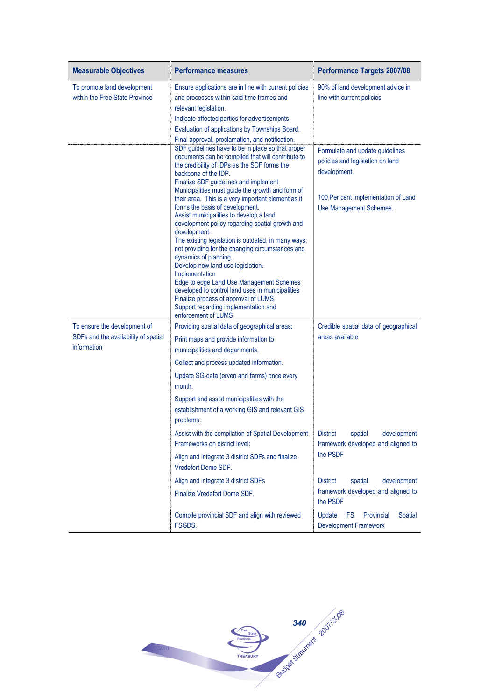| <b>Measurable Objectives</b>                                                        | <b>Performance measures</b>                                                                                                                                                                                                                                                                                                                                                                                                                                                                                                                                                                                                                                                                                                                                                                                                                                                            | <b>Performance Targets 2007/08</b>                                                                                                                    |
|-------------------------------------------------------------------------------------|----------------------------------------------------------------------------------------------------------------------------------------------------------------------------------------------------------------------------------------------------------------------------------------------------------------------------------------------------------------------------------------------------------------------------------------------------------------------------------------------------------------------------------------------------------------------------------------------------------------------------------------------------------------------------------------------------------------------------------------------------------------------------------------------------------------------------------------------------------------------------------------|-------------------------------------------------------------------------------------------------------------------------------------------------------|
| To promote land development<br>within the Free State Province                       | Ensure applications are in line with current policies<br>and processes within said time frames and<br>relevant legislation.<br>Indicate affected parties for advertisements<br>Evaluation of applications by Townships Board.<br>Final approval, proclamation, and notification.                                                                                                                                                                                                                                                                                                                                                                                                                                                                                                                                                                                                       | 90% of land development advice in<br>line with current policies                                                                                       |
|                                                                                     | SDF guidelines have to be in place so that proper<br>documents can be compiled that will contribute to<br>the credibility of IDPs as the SDF forms the<br>backbone of the IDP.<br>Finalize SDF guidelines and implement.<br>Municipalities must guide the growth and form of<br>their area. This is a very important element as it<br>forms the basis of development.<br>Assist municipalities to develop a land<br>development policy regarding spatial growth and<br>development.<br>The existing legislation is outdated, in many ways;<br>not providing for the changing circumstances and<br>dynamics of planning.<br>Develop new land use legislation.<br>Implementation<br>Edge to edge Land Use Management Schemes<br>developed to control land uses in municipalities<br>Finalize process of approval of LUMS.<br>Support regarding implementation and<br>enforcement of LUMS | Formulate and update guidelines<br>policies and legislation on land<br>development.<br>100 Per cent implementation of Land<br>Use Management Schemes. |
| To ensure the development of<br>SDFs and the availability of spatial<br>information | Providing spatial data of geographical areas:<br>Print maps and provide information to<br>municipalities and departments.                                                                                                                                                                                                                                                                                                                                                                                                                                                                                                                                                                                                                                                                                                                                                              | Credible spatial data of geographical<br>areas available                                                                                              |
|                                                                                     | Collect and process updated information.<br>Update SG-data (erven and farms) once every<br>month.<br>Support and assist municipalities with the                                                                                                                                                                                                                                                                                                                                                                                                                                                                                                                                                                                                                                                                                                                                        |                                                                                                                                                       |
|                                                                                     | establishment of a working GIS and relevant GIS<br>problems.                                                                                                                                                                                                                                                                                                                                                                                                                                                                                                                                                                                                                                                                                                                                                                                                                           |                                                                                                                                                       |
|                                                                                     | Assist with the compilation of Spatial Development<br>Frameworks on district level:                                                                                                                                                                                                                                                                                                                                                                                                                                                                                                                                                                                                                                                                                                                                                                                                    | <b>District</b><br>spatial<br>development<br>framework developed and aligned to                                                                       |
|                                                                                     | Align and integrate 3 district SDFs and finalize<br>Vredefort Dome SDF.                                                                                                                                                                                                                                                                                                                                                                                                                                                                                                                                                                                                                                                                                                                                                                                                                | the PSDF                                                                                                                                              |
|                                                                                     | Align and integrate 3 district SDFs                                                                                                                                                                                                                                                                                                                                                                                                                                                                                                                                                                                                                                                                                                                                                                                                                                                    | development<br><b>District</b><br>spatial                                                                                                             |
|                                                                                     | Finalize Vredefort Dome SDF.                                                                                                                                                                                                                                                                                                                                                                                                                                                                                                                                                                                                                                                                                                                                                                                                                                                           | framework developed and aligned to<br>the PSDF                                                                                                        |
|                                                                                     | Compile provincial SDF and align with reviewed<br>FSGDS.                                                                                                                                                                                                                                                                                                                                                                                                                                                                                                                                                                                                                                                                                                                                                                                                                               | Update<br><b>FS</b><br>Provincial<br><b>Spatial</b><br><b>Development Framework</b>                                                                   |

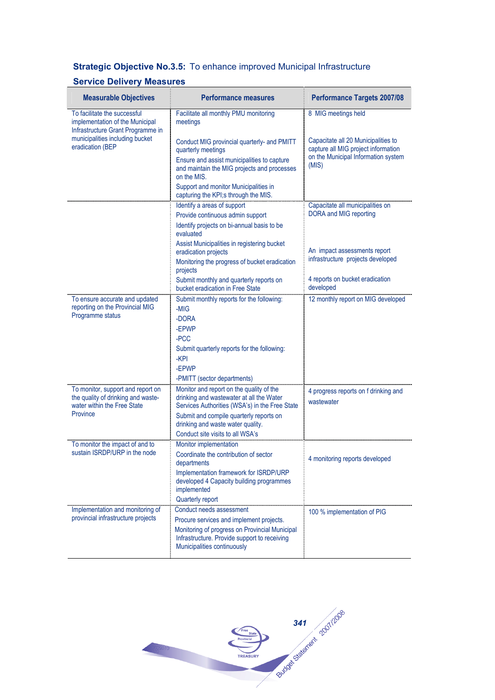## **Strategic Objective No.3.5:** To enhance improved Municipal Infrastructure

| <b>Measurable Objectives</b>                                                                         | <b>Performance measures</b>                                                                               | <b>Performance Targets 2007/08</b>                                                                                |
|------------------------------------------------------------------------------------------------------|-----------------------------------------------------------------------------------------------------------|-------------------------------------------------------------------------------------------------------------------|
| To facilitate the successful<br>implementation of the Municipal<br>Infrastructure Grant Programme in | Facilitate all monthly PMU monitoring<br>meetings                                                         | 8 MIG meetings held                                                                                               |
| municipalities including bucket<br>eradication (BEP                                                  | Conduct MIG provincial quarterly- and PMITT<br>quarterly meetings                                         | Capacitate all 20 Municipalities to<br>capture all MIG project information<br>on the Municipal Information system |
|                                                                                                      | Ensure and assist municipalities to capture<br>and maintain the MIG projects and processes<br>on the MIS. | (MIS)                                                                                                             |
|                                                                                                      | Support and monitor Municipalities in<br>capturing the KPI;s through the MIS.                             |                                                                                                                   |
|                                                                                                      | Identify a areas of support                                                                               | Capacitate all municipalities on                                                                                  |
|                                                                                                      | Provide continuous admin support                                                                          | DORA and MIG reporting                                                                                            |
|                                                                                                      | Identify projects on bi-annual basis to be<br>evaluated                                                   |                                                                                                                   |
|                                                                                                      | Assist Municipalities in registering bucket<br>eradication projects                                       | An impact assessments report                                                                                      |
|                                                                                                      | Monitoring the progress of bucket eradication<br>projects                                                 | infrastructure projects developed                                                                                 |
|                                                                                                      | Submit monthly and quarterly reports on<br>bucket eradication in Free State                               | 4 reports on bucket eradication<br>developed                                                                      |
| To ensure accurate and updated                                                                       | Submit monthly reports for the following:                                                                 | 12 monthly report on MIG developed                                                                                |
| reporting on the Provincial MIG                                                                      | -MIG                                                                                                      |                                                                                                                   |
| Programme status                                                                                     | -DORA                                                                                                     |                                                                                                                   |
|                                                                                                      | -EPWP                                                                                                     |                                                                                                                   |
|                                                                                                      | -PCC                                                                                                      |                                                                                                                   |
|                                                                                                      | Submit quarterly reports for the following:<br>$-KPI$                                                     |                                                                                                                   |
|                                                                                                      | -EPWP                                                                                                     |                                                                                                                   |
|                                                                                                      | -PMITT (sector departments)                                                                               |                                                                                                                   |
| To monitor, support and report on<br>the quality of drinking and waste-                              | Monitor and report on the quality of the<br>drinking and wastewater at all the Water                      | 4 progress reports on f drinking and<br>wastewater                                                                |
| water within the Free State<br>Province                                                              | Services Authorities (WSA's) in the Free State                                                            |                                                                                                                   |
|                                                                                                      | Submit and compile quarterly reports on<br>drinking and waste water quality.                              |                                                                                                                   |
|                                                                                                      | Conduct site visits to all WSA's                                                                          |                                                                                                                   |
| To monitor the impact of and to                                                                      | Monitor implementation                                                                                    |                                                                                                                   |
| sustain ISRDP/URP in the node                                                                        | Coordinate the contribution of sector<br>departments                                                      | 4 monitoring reports developed                                                                                    |
|                                                                                                      | Implementation framework for ISRDP/URP<br>developed 4 Capacity building programmes<br>implemented         |                                                                                                                   |
|                                                                                                      | Quarterly report<br>Conduct needs assessment                                                              |                                                                                                                   |
| Implementation and monitoring of<br>provincial infrastructure projects                               | Procure services and implement projects.                                                                  | 100 % implementation of PIG                                                                                       |
|                                                                                                      | Monitoring of progress on Provincial Municipal                                                            |                                                                                                                   |
|                                                                                                      | Infrastructure. Provide support to receiving<br>Municipalities continuously                               |                                                                                                                   |

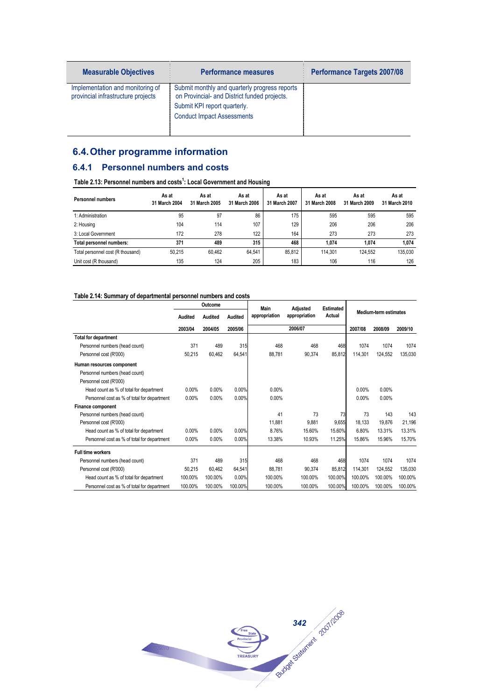| <b>Measurable Objectives</b>                                           | <b>Performance measures</b>                                                                                                                                        | <b>Performance Targets 2007/08</b> |
|------------------------------------------------------------------------|--------------------------------------------------------------------------------------------------------------------------------------------------------------------|------------------------------------|
| Implementation and monitoring of<br>provincial infrastructure projects | Submit monthly and quarterly progress reports<br>on Provincial- and District funded projects.<br>Submit KPI report quarterly.<br><b>Conduct Impact Assessments</b> |                                    |

## **6.4. Other programme information**

## **6.4.1 Personnel numbers and costs**

#### **Table 2.13: Personnel numbers and costs<sup>1</sup> : Local Government and Housing**

| <b>Personnel numbers</b>          | As at<br>31 March 2004 | As at<br>31 March 2005 | As at<br>31 March 2006 | As at<br>31 March 2007 | As at<br>31 March 2008 | As at<br>31 March 2009 | As at<br>31 March 2010 |
|-----------------------------------|------------------------|------------------------|------------------------|------------------------|------------------------|------------------------|------------------------|
| 1: Administration                 | 95                     | 97                     | 86                     | 175                    | 595                    | 595                    | 595                    |
| 2: Housing                        | 104                    | 114                    | 107                    | 129                    | 206                    | 206                    | 206                    |
| 3: Local Government               | 172                    | 278                    | 122                    | 164                    | 273                    | 273                    | 273                    |
| Total personnel numbers:          | 371                    | 489                    | 315                    | 468                    | 1.074                  | 1.074                  | 1,074                  |
| Total personnel cost (R thousand) | 50.215                 | 60.462                 | 64.541                 | 85.812                 | 114.301                | 124.552                | 135.030                |
| Unit cost (R thousand)            | 135                    | 124                    | 205                    | 183                    | 106                    | 116                    | 126                    |

#### **Table 2.14: Summary of departmental personnel numbers and costs**

|                                             |          | Outcome  |         | Main          | Adjusted      | <b>Estimated</b> |          |                              |         |
|---------------------------------------------|----------|----------|---------|---------------|---------------|------------------|----------|------------------------------|---------|
|                                             | Audited  | Audited  | Audited | appropriation | appropriation | Actual           |          | <b>Medium-term estimates</b> |         |
|                                             | 2003/04  | 2004/05  | 2005/06 |               | 2006/07       |                  | 2007/08  | 2008/09                      | 2009/10 |
| <b>Total for department</b>                 |          |          |         |               |               |                  |          |                              |         |
| Personnel numbers (head count)              | 371      | 489      | 315     | 468           | 468           | 468              | 1074     | 1074                         | 1074    |
| Personnel cost (R'000)                      | 50.215   | 60.462   | 64,541  | 88.781        | 90,374        | 85.812           | 114.301  | 124.552                      | 135.030 |
| Human resources component                   |          |          |         |               |               |                  |          |                              |         |
| Personnel numbers (head count)              |          |          |         |               |               |                  |          |                              |         |
| Personnel cost (R'000)                      |          |          |         |               |               |                  |          |                              |         |
| Head count as % of total for department     | $0.00\%$ | $0.00\%$ | 0.00%   | 0.00%         |               |                  | 0.00%    | 0.00%                        |         |
| Personnel cost as % of total for department | 0.00%    | 0.00%    | 0.00%   | $0.00\%$      |               |                  | $0.00\%$ | 0.00%                        |         |
| <b>Finance component</b>                    |          |          |         |               |               |                  |          |                              |         |
| Personnel numbers (head count)              |          |          |         | 41            | 73            | 73               | 73       | 143                          | 143     |
| Personnel cost (R'000)                      |          |          |         | 11,881        | 9.881         | 9.655            | 18.133   | 19,876                       | 21,196  |
| Head count as % of total for department     | $0.00\%$ | $0.00\%$ | 0.00%   | 8.76%         | 15.60%        | 15.60%           | 6.80%    | 13.31%                       | 13.31%  |
| Personnel cost as % of total for department | $0.00\%$ | 0.00%    | 0.00%   | 13.38%        | 10.93%        | 11.25%           | 15.86%   | 15.96%                       | 15.70%  |
| <b>Full time workers</b>                    |          |          |         |               |               |                  |          |                              |         |
| Personnel numbers (head count)              | 371      | 489      | 315     | 468           | 468           | 468              | 1074     | 1074                         | 1074    |
| Personnel cost (R'000)                      | 50.215   | 60.462   | 64,541  | 88.781        | 90.374        | 85.812           | 114.301  | 124.552                      | 135.030 |
| Head count as % of total for department     | 100.00%  | 100.00%  | 0.00%   | 100.00%       | 100.00%       | 100.00%          | 100.00%  | 100.00%                      | 100.00% |
| Personnel cost as % of total for department | 100.00%  | 100.00%  | 100.00% | 100.00%       | 100.00%       | 100.00%          | 100.00%  | 100.00%                      | 100.00% |

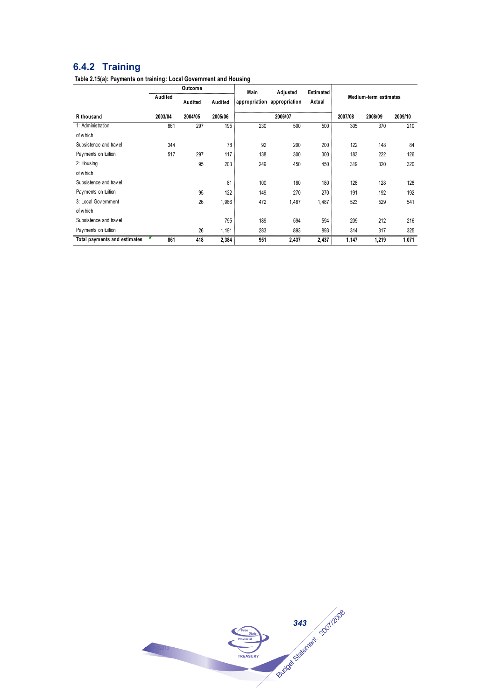## **6.4.2 Training**

**Table 2.15(a): Payments on training: Local Government and Housing**

| Outcome                      |         |         |         | Main | Adjusted                    | Estimated |                       |         |         |  |
|------------------------------|---------|---------|---------|------|-----------------------------|-----------|-----------------------|---------|---------|--|
|                              | Audited | Audited | Audited |      | appropriation appropriation | Actual    | Medium-term estimates |         |         |  |
| R thousand                   | 2003/04 | 2004/05 | 2005/06 |      | 2006/07                     |           | 2007/08               | 2008/09 | 2009/10 |  |
| 1: Administration            | 861     | 297     | 195     | 230  | 500                         | 500       | 305                   | 370     | 210     |  |
| of which                     |         |         |         |      |                             |           |                       |         |         |  |
| Subsistence and travel       | 344     |         | 78      | 92   | 200                         | 200       | 122                   | 148     | 84      |  |
| Payments on tuition          | 517     | 297     | 117     | 138  | 300                         | 300       | 183                   | 222     | 126     |  |
| 2: Housing                   |         | 95      | 203     | 249  | 450                         | 450       | 319                   | 320     | 320     |  |
| of which                     |         |         |         |      |                             |           |                       |         |         |  |
| Subsistence and travel       |         |         | 81      | 100  | 180                         | 180       | 128                   | 128     | 128     |  |
| Payments on tuition          |         | 95      | 122     | 149  | 270                         | 270       | 191                   | 192     | 192     |  |
| 3: Local Government          |         | 26      | 1,986   | 472  | 1,487                       | 1,487     | 523                   | 529     | 541     |  |
| of which                     |         |         |         |      |                             |           |                       |         |         |  |
| Subsistence and travel       |         |         | 795     | 189  | 594                         | 594       | 209                   | 212     | 216     |  |
| Payments on tuition          |         | 26      | 1,191   | 283  | 893                         | 893       | 314                   | 317     | 325     |  |
| Total payments and estimates | 861     | 418     | 2,384   | 951  | 2,437                       | 2,437     | 1,147                 | 1,219   | 1,071   |  |

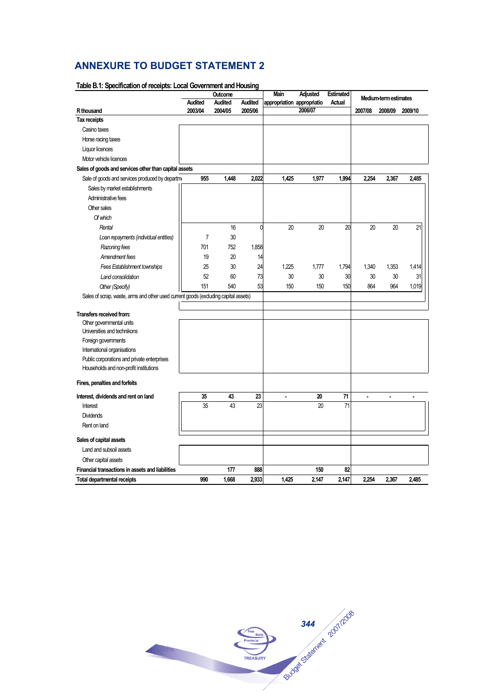# **ANNEXURE TO BUDGET STATEMENT 2**

|                                                                                     | Main<br>Adjusted<br>Outcome |                | <b>Estimated</b> | Medium-term estimates      |         |        |                |                |                |
|-------------------------------------------------------------------------------------|-----------------------------|----------------|------------------|----------------------------|---------|--------|----------------|----------------|----------------|
|                                                                                     | <b>Audited</b>              | <b>Audited</b> | <b>Audited</b>   | appropriation appropriatio | 2006/07 | Actual |                |                |                |
| R thousand<br>Tax receipts                                                          | 2003/04                     | 2004/05        | 2005/06          |                            |         |        | 2007/08        | 2008/09        | 2009/10        |
| Casino taxes                                                                        |                             |                |                  |                            |         |        |                |                |                |
|                                                                                     |                             |                |                  |                            |         |        |                |                |                |
| Horse racing taxes                                                                  |                             |                |                  |                            |         |        |                |                |                |
| Liquor licences                                                                     |                             |                |                  |                            |         |        |                |                |                |
| Motor vehicle licences                                                              |                             |                |                  |                            |         |        |                |                |                |
| Sales of goods and services other than capital assets                               |                             |                |                  |                            |         |        |                |                |                |
| Sale of goods and services produced by departm                                      | 955                         | 1,448          | 2,022            | 1,425                      | 1,977   | 1,994  | 2,254          | 2,367          | 2,485          |
| Sales by market establishments                                                      |                             |                |                  |                            |         |        |                |                |                |
| Administrative fees                                                                 |                             |                |                  |                            |         |        |                |                |                |
| Other sales                                                                         |                             |                |                  |                            |         |        |                |                |                |
| Of which                                                                            |                             |                |                  |                            |         |        |                |                |                |
| Rental                                                                              |                             | 16             | 0                | 20                         | 20      | 20     | 20             | 20             | 21             |
| Loan repayments (individual entities)                                               | $\overline{7}$              | 30             |                  |                            |         |        |                |                |                |
| Razoning fees                                                                       | 701                         | 752            | 1,858            |                            |         |        |                |                |                |
| Amendment fees                                                                      | 19                          | 20             | 14               |                            |         |        |                |                |                |
| <b>Fees Establishment townships</b>                                                 | 25                          | 30             | 24               | 1,225                      | 1,777   | 1,794  | 1,340          | 1,353          | 1,414          |
| Land consolidation                                                                  | 52                          | 60             | 73               | 30                         | 30      | 30     | 30             | 30             | 31             |
| Other (Specify)                                                                     | 151                         | 540            | 53               | 150                        | 150     | 150    | 864            | 964            | 1,019          |
| Sales of scrap, waste, arms and other used current goods (excluding capital assets) |                             |                |                  |                            |         |        |                |                |                |
|                                                                                     |                             |                |                  |                            |         |        |                |                |                |
| Transfers received from:                                                            |                             |                |                  |                            |         |        |                |                |                |
| Other governmental units                                                            |                             |                |                  |                            |         |        |                |                |                |
| Universities and technikons                                                         |                             |                |                  |                            |         |        |                |                |                |
| Foreign governments                                                                 |                             |                |                  |                            |         |        |                |                |                |
| International organisations                                                         |                             |                |                  |                            |         |        |                |                |                |
| Public corporations and private enterprises                                         |                             |                |                  |                            |         |        |                |                |                |
| Households and non-profit institutions                                              |                             |                |                  |                            |         |        |                |                |                |
| Fines, penalties and forfeits                                                       |                             |                |                  |                            |         |        |                |                |                |
| Interest, dividends and rent on land                                                | 35                          | 43             | 23               | $\blacksquare$             | 20      | 71     | $\blacksquare$ | $\blacksquare$ | $\blacksquare$ |
| Interest                                                                            | 35                          | 43             | 23               |                            | 20      | 71     |                |                |                |
| <b>Dividends</b>                                                                    |                             |                |                  |                            |         |        |                |                |                |
| Rent on land                                                                        |                             |                |                  |                            |         |        |                |                |                |
|                                                                                     |                             |                |                  |                            |         |        |                |                |                |
| Sales of capital assets                                                             |                             |                |                  |                            |         |        |                |                |                |
| Land and subsoil assets                                                             |                             |                |                  |                            |         |        |                |                |                |
| Other capital assets                                                                |                             |                |                  |                            |         |        |                |                |                |
| Financial transactions in assets and liabilities                                    |                             | 177            | 888              |                            | 150     | 82     |                |                |                |
| <b>Total departmental receipts</b>                                                  | 990                         | 1,668          | 2,933            | 1,425                      | 2,147   | 2,147  | 2,254          | 2,367          | 2,485          |

#### **Table B.1: Specification of receipts: Local Government and Housing**

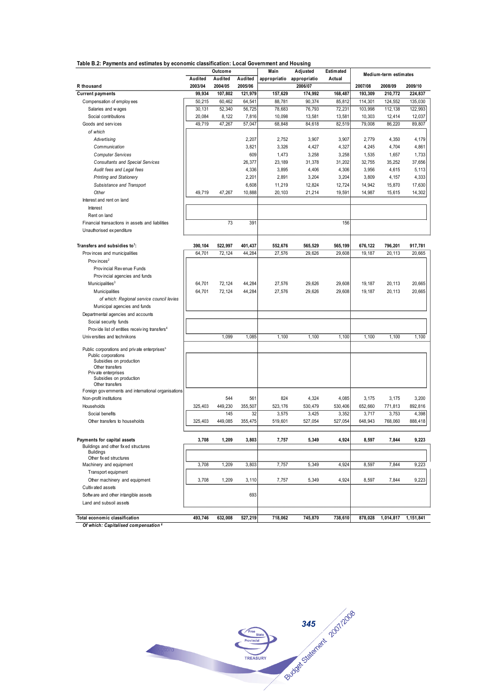|  | Table B.2: Payments and estimates by economic classification: Local Government and Housing |
|--|--------------------------------------------------------------------------------------------|
|--|--------------------------------------------------------------------------------------------|

| Table B.Z: Payments and estimates by economic classification: Local Government and Housing |         | Outcome |         | Main         | Adjusted     | Estimated        |                  |                       |           |
|--------------------------------------------------------------------------------------------|---------|---------|---------|--------------|--------------|------------------|------------------|-----------------------|-----------|
|                                                                                            | Audited | Audited | Audited | appropriatio | appropriatio | Actual           |                  | Medium-term estimates |           |
| R thousand                                                                                 | 2003/04 | 2004/05 | 2005/06 |              | 2006/07      |                  | 2007/08          | 2008/09               | 2009/10   |
| <b>Current payments</b>                                                                    | 99,934  | 107,802 | 121.979 | 157,629      | 174,992      | 168,487          | 193.309          | 210,772               | 224,837   |
| Compensation of employ ees                                                                 | 50,215  | 60,462  | 64,541  | 88,781       | 90,374       | 85,812           | 114,301          | 124,552               | 135,030   |
| Salaries and wages                                                                         | 30,131  | 52,340  | 56,725  | 78,683       | 76,793       | 72,231           | 103,998          | 112,138               | 122,993   |
|                                                                                            | 20,084  |         |         |              |              |                  |                  |                       |           |
| Social contributions<br>Goods and services                                                 | 49.719  | 8,122   | 7,816   | 10,098       | 13,581       | 13,581<br>82.519 | 10,303<br>79.008 | 12,414                | 12,037    |
|                                                                                            |         | 47,267  | 57,047  | 68,848       | 84,618       |                  |                  | 86,220                | 89,807    |
| of which                                                                                   |         |         |         |              |              |                  |                  |                       |           |
| Advertising                                                                                |         |         | 2,207   | 2,752        | 3,907        | 3,907            | 2,779            | 4,350                 | 4,179     |
| Communication                                                                              |         |         | 3,821   | 3,326        | 4,427        | 4,327            | 4,245            | 4,704                 | 4,861     |
| <b>Computer Services</b>                                                                   |         |         | 609     | 1,473        | 3,258        | 3,258            | 1,535            | 1,657                 | 1,733     |
| <b>Consultants and Special Services</b>                                                    |         |         | 26,377  | 23,189       | 31,378       | 31,202           | 32,755           | 35,252                | 37,656    |
| Audit fees and Legal fees                                                                  |         |         | 4,336   | 3,895        | 4,406        | 4,306            | 3,956            | 4,615                 | 5,113     |
| <b>Printing and Stationery</b>                                                             |         |         | 2,201   | 2,891        | 3,204        | 3,204            | 3,809            | 4,157                 | 4,333     |
| Subsistance and Transport                                                                  |         |         | 6,608   | 11,219       | 12,824       | 12,724           | 14,942           | 15,870                | 17,630    |
| Other                                                                                      | 49,719  | 47,267  | 10,888  | 20,103       | 21,214       | 19,591           | 14,987           | 15,615                | 14,302    |
| Interest and rent on land                                                                  |         |         |         |              |              |                  |                  |                       |           |
| Interest                                                                                   |         |         |         |              |              |                  |                  |                       |           |
| Rent on land                                                                               |         |         |         |              |              |                  |                  |                       |           |
| Financial transactions in assets and liabilities                                           |         | 73      | 391     |              |              | 156              |                  |                       |           |
| Unauthorised ex penditure                                                                  |         |         |         |              |              |                  |                  |                       |           |
| Transfers and subsidies to <sup>1</sup> :                                                  | 390.104 | 522,997 | 401,437 | 552.676      | 565,529      | 565.199          | 676,122          | 796.201               | 917,781   |
| Provinces and municipalities                                                               | 64,701  | 72,124  | 44,284  | 27,576       | 29,626       | 29,608           | 19,187           | 20,113                | 20,665    |
| Prov inces <sup>2</sup>                                                                    |         |         |         |              |              |                  |                  |                       |           |
| Provincial Revenue Funds                                                                   |         |         |         |              |              |                  |                  |                       |           |
| Provincial agencies and funds                                                              |         |         |         |              |              |                  |                  |                       |           |
| Municipalities <sup>3</sup>                                                                | 64,701  | 72,124  | 44,284  |              |              |                  | 19,187           | 20.113                |           |
|                                                                                            |         |         |         | 27,576       | 29,626       | 29,608           |                  |                       | 20,665    |
| Municipalities                                                                             | 64,701  | 72.124  | 44,284  | 27,576       | 29,626       | 29,608           | 19,187           | 20,113                | 20,665    |
| of which: Regional service council levies                                                  |         |         |         |              |              |                  |                  |                       |           |
| Municipal agencies and funds                                                               |         |         |         |              |              |                  |                  |                       |           |
| Departmental agencies and accounts                                                         |         |         |         |              |              |                  |                  |                       |           |
| Social security funds                                                                      |         |         |         |              |              |                  |                  |                       |           |
| Provide list of entities receiving transfers <sup>4</sup>                                  |         |         |         |              |              |                  |                  |                       |           |
| Universities and technikons                                                                |         | 1,099   | 1,085   | 1,100        | 1,100        | 1,100            | 1,100            | 1,100                 | 1,100     |
| Public corporations and private enterprises <sup>5</sup>                                   |         |         |         |              |              |                  |                  |                       |           |
| Public corporations                                                                        |         |         |         |              |              |                  |                  |                       |           |
| Subsidies on production<br>Other transfers                                                 |         |         |         |              |              |                  |                  |                       |           |
| Priv ate enterprises                                                                       |         |         |         |              |              |                  |                  |                       |           |
| Subsidies on production                                                                    |         |         |         |              |              |                  |                  |                       |           |
| Other transfers                                                                            |         |         |         |              |              |                  |                  |                       |           |
| Foreign gov ernments and international organisations                                       |         |         |         |              |              |                  |                  |                       |           |
| Non-profit institutions                                                                    |         | 544     | 561     | 824          | 4,324        | 4,085            | 3,175            | 3,175                 | 3,200     |
| Households                                                                                 | 325,403 | 449,230 | 355,507 | 523,176      | 530,479      | 530,406          | 652,660          | 771,813               | 892.816   |
| Social benefits                                                                            |         | 145     | 32      | 3,575        | 3,425        | 3,352            | 3,717            | 3,753                 | 4,398     |
| Other transfers to households                                                              | 325,403 | 449,085 | 355,475 | 519,601      | 527,054      | 527,054          | 648,943          | 768,060               | 888,418   |
| Payments for capital assets                                                                | 3,708   | 1,209   | 3,803   | 7,757        | 5,349        | 4,924            | 8,597            | 7,844                 | 9,223     |
| Buildings and other fixed structures                                                       |         |         |         |              |              |                  |                  |                       |           |
| <b>Buildings</b>                                                                           |         |         |         |              |              |                  |                  |                       |           |
| Other fixed structures                                                                     |         |         |         |              |              |                  |                  |                       |           |
| Machinery and equipment                                                                    | 3,708   | 1,209   | 3,803   | 7,757        | 5,349        | 4,924            | 8,597            | 7,844                 | 9,223     |
| Transport equipment                                                                        |         |         |         |              |              |                  |                  |                       |           |
| Other machinery and equipment                                                              | 3,708   | 1,209   | 3,110   | 7,757        | 5,349        | 4,924            | 8,597            | 7,844                 | 9,223     |
| Cultivated assets                                                                          |         |         |         |              |              |                  |                  |                       |           |
| Software and other intangible assets                                                       |         |         | 693     |              |              |                  |                  |                       |           |
| Land and subsoil assets                                                                    |         |         |         |              |              |                  |                  |                       |           |
| Total economic classification                                                              | 493,746 | 632,008 | 527,219 | 718,062      | 745,870      | 738,610          | 878,028          | 1,014,817             | 1,151,841 |
|                                                                                            |         |         |         |              |              |                  |                  |                       |           |

*Of which: Capitalised compensation <sup>6</sup>*

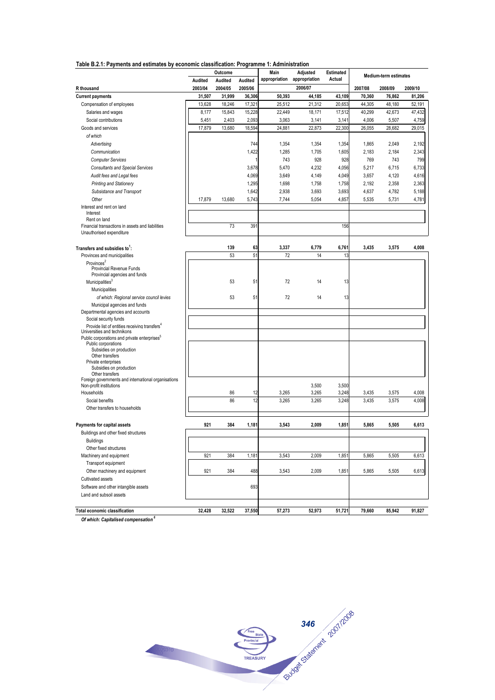| Table D.Z.T. Payments and estimates by economic classification. Programme T. Administration |         | Outcome |                 | Main          | Adjusted      | Estimated |         |                       |         |
|---------------------------------------------------------------------------------------------|---------|---------|-----------------|---------------|---------------|-----------|---------|-----------------------|---------|
|                                                                                             | Audited | Audited | Audited         | appropriation | appropriation | Actual    |         | Medium-term estimates |         |
| R thousand                                                                                  | 2003/04 | 2004/05 | 2005/06         |               | 2006/07       |           | 2007/08 | 2008/09               | 2009/10 |
| <b>Current payments</b>                                                                     | 31,507  | 31,999  | 36,306          | 50,393        | 44,185        | 43,109    | 70,360  | 76,862                | 81,206  |
| Compensation of employees                                                                   | 13,628  | 18,246  | 17,321          | 25,512        | 21,312        | 20,653    | 44,305  | 48,180                | 52,191  |
| Salaries and wages                                                                          | 8,177   | 15,843  | 15,228          | 22,449        | 18,171        | 17,512    | 40,299  | 42,673                | 47,432  |
| Social contributions                                                                        | 5,451   | 2,403   | 2,093           | 3,063         | 3,141         | 3,141     | 4,006   | 5,507                 |         |
|                                                                                             |         |         |                 |               |               |           |         |                       | 4,759   |
| Goods and services                                                                          | 17,879  | 13,680  | 18,594          | 24,881        | 22,873        | 22,300    | 26,055  | 28,682                | 29,015  |
| of which                                                                                    |         |         |                 |               |               |           |         |                       |         |
| Advertising                                                                                 |         |         | 744             | 1,354         | 1,354         | 1,354     | 1,865   | 2,049                 | 2,192   |
| Communication                                                                               |         |         | 1,422           | 1,285         | 1,705         | 1,605     | 2,183   | 2,184                 | 2,343   |
| <b>Computer Services</b>                                                                    |         |         | 1               | 743           | 928           | 928       | 769     | 743                   | 799     |
| <b>Consultants and Special Services</b>                                                     |         |         | 3,678           | 5,470         | 4,232         | 4,056     | 5,217   | 6,715                 | 6,733   |
| Audit fees and Legal fees                                                                   |         |         | 4,069           | 3,649         | 4,149         | 4,049     | 3,657   | 4,120                 | 4,616   |
| <b>Printing and Stationery</b>                                                              |         |         | 1,295           | 1,698         | 1,758         | 1,758     | 2,192   | 2,358                 | 2,363   |
| Subsistance and Transport                                                                   |         |         | 1,642           | 2,938         | 3,693         | 3,693     | 4,637   | 4,782                 | 5,188   |
| Other                                                                                       | 17,879  | 13,680  | 5,743           | 7,744         | 5,054         | 4,857     | 5,535   | 5,731                 | 4,781   |
| Interest and rent on land                                                                   |         |         |                 |               |               |           |         |                       |         |
| Interest                                                                                    |         |         |                 |               |               |           |         |                       |         |
| Rent on land<br>Financial transactions in assets and liabilities                            |         | 73      | 39 <sup>7</sup> |               |               | 156       |         |                       |         |
| Unauthorised expenditure                                                                    |         |         |                 |               |               |           |         |                       |         |
|                                                                                             |         |         |                 |               |               |           |         |                       |         |
| Transfers and subsidies to':                                                                |         | 139     | 63              | 3,337         | 6,779         | 6,761     | 3,435   | 3,575                 | 4,008   |
| Provinces and municipalities                                                                |         | 53      | 51              | 72            | 14            | 13        |         |                       |         |
| Provinces <sup>2</sup>                                                                      |         |         |                 |               |               |           |         |                       |         |
| <b>Provincial Revenue Funds</b>                                                             |         |         |                 |               |               |           |         |                       |         |
| Provincial agencies and funds                                                               |         |         |                 |               |               |           |         |                       |         |
| Municipalities <sup>3</sup>                                                                 |         | 53      | 51              | 72            | 14            | 13        |         |                       |         |
| Municipalities                                                                              |         |         |                 |               |               |           |         |                       |         |
| of which: Regional service council levies                                                   |         | 53      | 51              | 72            | 14            | 13        |         |                       |         |
| Municipal agencies and funds                                                                |         |         |                 |               |               |           |         |                       |         |
| Departmental agencies and accounts                                                          |         |         |                 |               |               |           |         |                       |         |
| Social security funds                                                                       |         |         |                 |               |               |           |         |                       |         |
| Provide list of entities receiving transfers <sup>4</sup><br>Universities and technikons    |         |         |                 |               |               |           |         |                       |         |
| Public corporations and private enterprises <sup>5</sup>                                    |         |         |                 |               |               |           |         |                       |         |
| Public corporations                                                                         |         |         |                 |               |               |           |         |                       |         |
| Subsidies on production<br>Other transfers                                                  |         |         |                 |               |               |           |         |                       |         |
| Private enterprises                                                                         |         |         |                 |               |               |           |         |                       |         |
| Subsidies on production                                                                     |         |         |                 |               |               |           |         |                       |         |
| Other transfers                                                                             |         |         |                 |               |               |           |         |                       |         |
| Foreign governments and international organisations<br>Non-profit institutions              |         |         |                 |               | 3,500         | 3,500     |         |                       |         |
| Households                                                                                  |         | 86      | 12              | 3,265         | 3,265         | 3,248     | 3,435   | 3,575                 | 4,008   |
| Social benefits                                                                             |         | 86      | 12              | 3,265         | 3,265         | 3,248     | 3,435   | 3,575                 | 4,008   |
| Other transfers to households                                                               |         |         |                 |               |               |           |         |                       |         |
|                                                                                             |         |         |                 |               |               |           |         |                       |         |
|                                                                                             |         |         |                 |               |               |           |         |                       |         |
| <b>Payments for capital assets</b>                                                          | 921     | 384     | 1,181           | 3,543         | 2,009         | 1,851     | 5,865   | 5,505                 | 6,613   |
| Buildings and other fixed structures                                                        |         |         |                 |               |               |           |         |                       |         |
| <b>Buildings</b>                                                                            |         |         |                 |               |               |           |         |                       |         |
| Other fixed structures                                                                      |         |         |                 |               |               |           |         |                       |         |
| Machinery and equipment                                                                     | 921     | 384     | 1,181           | 3,543         | 2,009         | 1,851     | 5,865   | 5,505                 | 6,613   |
| Transport equipment                                                                         |         |         |                 |               |               |           |         |                       |         |
| Other machinery and equipment                                                               | 921     | 384     | 488             | 3,543         | 2,009         | 1,851     | 5,865   | 5,505                 | 6,613   |
| Cultivated assets                                                                           |         |         |                 |               |               |           |         |                       |         |
| Software and other intangible assets                                                        |         |         | 693             |               |               |           |         |                       |         |
| Land and subsoil assets                                                                     |         |         |                 |               |               |           |         |                       |         |
|                                                                                             |         |         |                 |               |               |           |         |                       |         |
| Total economic classification                                                               | 32,428  | 32,522  | 37,550          | 57,273        | 52,973        | 51,721    | 79,660  | 85,942                | 91,827  |

*Of which: Capitalised compensation <sup>6</sup>*

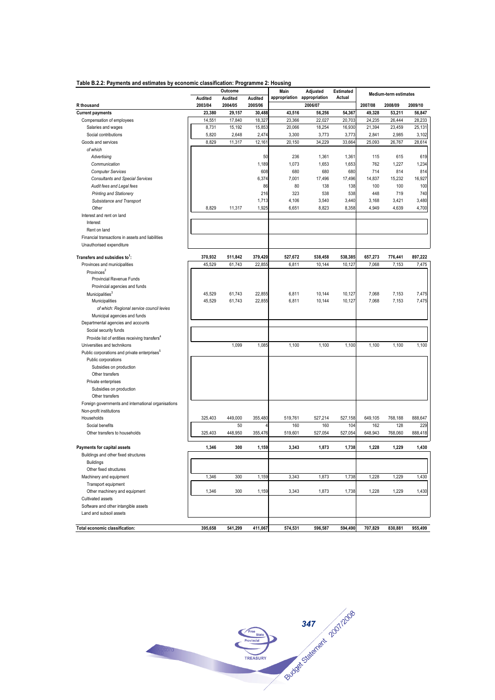| Table B.2.2: Payments and estimates by economic classification: Programme 2: Housing |                    |                    |                    |                                     |          |                     |                  |                              |         |
|--------------------------------------------------------------------------------------|--------------------|--------------------|--------------------|-------------------------------------|----------|---------------------|------------------|------------------------------|---------|
|                                                                                      |                    | Outcome            |                    | Main<br>appropriation appropriation | Adjusted | Estimated<br>Actual |                  | <b>Medium-term estimates</b> |         |
| R thousand                                                                           | Audited<br>2003/04 | Audited<br>2004/05 | Audited<br>2005/06 |                                     | 2006/07  |                     | 2007/08          | 2008/09                      | 2009/10 |
| <b>Current payments</b>                                                              | 23,380             | 29,157             | 30,488             | 43,516                              | 56,256   | 54,367              | 49,328           | 53,211                       | 56,847  |
| Compensation of employees                                                            | 14,551             | 17,840             | 18,327             | 23,366                              | 22,027   | 20,703              | 24,235           | 26,444                       | 28,233  |
| Salaries and wages                                                                   | 8,731              | 15,192             | 15,853             | 20,066                              | 18,254   | 16,930              | 21,394           | 23,459                       | 25,131  |
| Social contributions                                                                 | 5,820              | 2,648              | 2,474              | 3,300                               | 3,773    | 3,773               | 2,841            | 2,985                        | 3,102   |
| Goods and services                                                                   | 8,829              | 11,317             | 12,161             | 20,150                              | 34,229   | 33,664              | 25,093           | 26,767                       | 28,614  |
| of which                                                                             |                    |                    |                    |                                     |          |                     |                  |                              |         |
| Advertising                                                                          |                    |                    | 50                 | 236                                 | 1,361    | 1,361               | 115              | 615                          | 619     |
| Communication                                                                        |                    |                    | 1,189              | 1,073                               | 1,653    | 1,653               | 762              | 1,227                        | 1,234   |
| <b>Computer Services</b>                                                             |                    |                    | 608                | 680                                 | 680      | 680                 | 714              | 814                          | 814     |
| <b>Consultants and Special Services</b>                                              |                    |                    | 6,374              | 7,001                               | 17,496   | 17,496              | 14,837           | 15,232                       | 16,927  |
| Audit fees and Legal fees                                                            |                    |                    | 86                 | 80                                  | 138      | 138                 | 100              | 100                          | 100     |
| <b>Printing and Stationery</b>                                                       |                    |                    | 216                | 323                                 | 538      | 538                 | 448              | 719                          | 740     |
| Subsistance and Transport                                                            |                    |                    | 1,713              | 4,106                               | 3,540    | 3,440               | 3,168            | 3,421                        | 3,480   |
| Other                                                                                | 8,829              | 11,317             | 1,925              | 6,651                               | 8,823    | 8,358               | 4,949            | 4,639                        | 4,700   |
| Interest and rent on land                                                            |                    |                    |                    |                                     |          |                     |                  |                              |         |
| Interest                                                                             |                    |                    |                    |                                     |          |                     |                  |                              |         |
| Rent on land                                                                         |                    |                    |                    |                                     |          |                     |                  |                              |         |
| Financial transactions in assets and liabilities                                     |                    |                    |                    |                                     |          |                     |                  |                              |         |
| Unauthorised expenditure                                                             |                    |                    |                    |                                     |          |                     |                  |                              |         |
| Transfers and subsidies to <sup>1</sup> :                                            | 370,932            | 511,842            | 379,420            | 527,672                             | 538,458  | 538,385             |                  |                              | 897,222 |
| Provinces and municipalities                                                         | 45,529             | 61,743             | 22,855             | 6,811                               | 10,144   | 10,127              | 657,273<br>7,068 | 776,441<br>7,153             | 7,475   |
| Provinces <sup>2</sup>                                                               |                    |                    |                    |                                     |          |                     |                  |                              |         |
| Provincial Revenue Funds                                                             |                    |                    |                    |                                     |          |                     |                  |                              |         |
| Provincial agencies and funds                                                        |                    |                    |                    |                                     |          |                     |                  |                              |         |
| Municipalities <sup>3</sup>                                                          | 45,529             | 61,743             | 22,855             | 6,811                               | 10,144   | 10,127              | 7,068            | 7,153                        | 7,475   |
| Municipalities                                                                       | 45,529             | 61,743             | 22,855             | 6,811                               | 10,144   | 10,127              | 7,068            | 7,153                        | 7,475   |
| of which: Regional service council levies                                            |                    |                    |                    |                                     |          |                     |                  |                              |         |
| Municipal agencies and funds                                                         |                    |                    |                    |                                     |          |                     |                  |                              |         |
| Departmental agencies and accounts                                                   |                    |                    |                    |                                     |          |                     |                  |                              |         |
| Social security funds                                                                |                    |                    |                    |                                     |          |                     |                  |                              |         |
| Provide list of entities receiving transfers <sup>4</sup>                            |                    |                    |                    |                                     |          |                     |                  |                              |         |
| Universities and technikons                                                          |                    | 1,099              | 1,085              | 1,100                               | 1,100    | 1,100               | 1,100            | 1,100                        | 1,100   |
| Public corporations and private enterprises <sup>3</sup>                             |                    |                    |                    |                                     |          |                     |                  |                              |         |
| Public corporations                                                                  |                    |                    |                    |                                     |          |                     |                  |                              |         |
| Subsidies on production                                                              |                    |                    |                    |                                     |          |                     |                  |                              |         |
| Other transfers                                                                      |                    |                    |                    |                                     |          |                     |                  |                              |         |
| Private enterprises                                                                  |                    |                    |                    |                                     |          |                     |                  |                              |         |
| Subsidies on production                                                              |                    |                    |                    |                                     |          |                     |                  |                              |         |
| Other transfers                                                                      |                    |                    |                    |                                     |          |                     |                  |                              |         |
| Foreign governments and international organisations                                  |                    |                    |                    |                                     |          |                     |                  |                              |         |
| Non-profit institutions                                                              |                    |                    |                    |                                     |          |                     |                  |                              |         |
| Households                                                                           | 325,403            | 449,000            | 355,480            | 519,761                             | 527,214  | 527,158             | 649.105          | 768,188                      | 888,647 |
| Social benefits                                                                      |                    | 50                 |                    | 160                                 | 160      | 104                 | 162              | 128                          | 229     |
| Other transfers to households                                                        | 325,403            | 448,950            | 355,476            | 519,601                             | 527,054  | 527,054             | 648,943          | 768,060                      | 888,418 |
|                                                                                      |                    |                    |                    |                                     |          |                     |                  |                              |         |
| Payments for capital assets                                                          | 1,346              | 300                | 1,159              | 3,343                               | 1,873    | 1,738               | 1,228            | 1,229                        | 1,430   |
| Buildings and other fixed structures<br><b>Buildings</b>                             |                    |                    |                    |                                     |          |                     |                  |                              |         |
| Other fixed structures                                                               |                    |                    |                    |                                     |          |                     |                  |                              |         |
| Machinery and equipment                                                              | 1,346              | 300                | 1,159              | 3,343                               | 1,873    | 1,738               | 1,228            | 1,229                        | 1,430   |
| Transport equipment                                                                  |                    |                    |                    |                                     |          |                     |                  |                              |         |
| Other machinery and equipment                                                        | 1,346              | 300                | 1,159              | 3,343                               | 1,873    | 1,738               | 1,228            | 1,229                        | 1,430   |
| Cultivated assets                                                                    |                    |                    |                    |                                     |          |                     |                  |                              |         |
| Software and other intangible assets                                                 |                    |                    |                    |                                     |          |                     |                  |                              |         |
| Land and subsoil assets                                                              |                    |                    |                    |                                     |          |                     |                  |                              |         |
|                                                                                      |                    |                    |                    |                                     |          |                     |                  |                              |         |
| Total economic classification:                                                       | 395,658            | 541,299            | 411,067            | 574,531                             | 596,587  | 594,490             | 707,829          | 830,881                      | 955,499 |

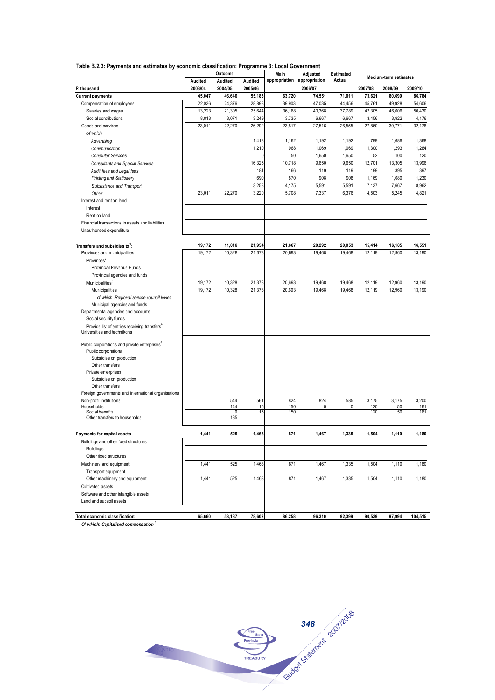| Table B.2.3: Payments and estimates by economic classification: Programme 3: Local Government |  |  |
|-----------------------------------------------------------------------------------------------|--|--|
|                                                                                               |  |  |

|                                                                           |         | Outcome  |         | Main                        | Adjusted | Estimated |         | Medium-term estimates |         |
|---------------------------------------------------------------------------|---------|----------|---------|-----------------------------|----------|-----------|---------|-----------------------|---------|
|                                                                           | Audited | Audited  | Audited | appropriation appropriation |          | Actual    |         |                       |         |
| R thousand                                                                | 2003/04 | 2004/05  | 2005/06 |                             | 2006/07  |           | 2007/08 | 2008/09               | 2009/10 |
| <b>Current payments</b>                                                   | 45,047  | 46,646   | 55,185  | 63,720                      | 74,551   | 71,011    | 73,621  | 80,699                | 86,784  |
| Compensation of employees                                                 | 22,036  | 24,376   | 28,893  | 39,903                      | 47,035   | 44,456    | 45,761  | 49,928                | 54,606  |
| Salaries and wages                                                        | 13,223  | 21,305   | 25,644  | 36,168                      | 40,368   | 37,789    | 42,305  | 46,006                | 50,430  |
| Social contributions                                                      | 8,813   | 3,071    | 3,249   | 3,735                       | 6,667    | 6,667     | 3,456   | 3,922                 | 4,176   |
| Goods and services                                                        | 23,011  | 22,270   | 26,292  | 23,817                      | 27,516   | 26,555    | 27,860  | 30,771                | 32,178  |
| of which                                                                  |         |          |         |                             |          |           |         |                       |         |
| Advertising                                                               |         |          | 1,413   | 1,162                       | 1,192    | 1,192     | 799     | 1,686                 | 1,368   |
| Communication                                                             |         |          | 1,210   | 968                         | 1,069    | 1,069     | 1,300   | 1,293                 | 1,284   |
| <b>Computer Services</b>                                                  |         |          | ſ       | 50                          | 1,650    | 1,650     | 52      | 100                   | 120     |
| <b>Consultants and Special Services</b>                                   |         |          | 16,325  | 10,718                      | 9,650    | 9,650     | 12,701  | 13,305                | 13,996  |
| Audit fees and Legal fees                                                 |         |          | 181     | 166                         | 119      | 119       | 199     | 395                   | 397     |
| <b>Printing and Stationery</b>                                            |         |          | 690     | 870                         | 908      | 908       | 1,169   | 1,080                 | 1,230   |
| Subsistance and Transport                                                 |         |          | 3,253   | 4,175                       | 5,591    | 5,591     | 7,137   | 7,667                 | 8,962   |
| Other                                                                     | 23,011  | 22,270   | 3,220   | 5,708                       | 7,337    | 6,376     | 4,503   | 5,245                 | 4,821   |
| Interest and rent on land                                                 |         |          |         |                             |          |           |         |                       |         |
| Interest                                                                  |         |          |         |                             |          |           |         |                       |         |
| Rent on land                                                              |         |          |         |                             |          |           |         |                       |         |
| Financial transactions in assets and liabilities                          |         |          |         |                             |          |           |         |                       |         |
| Unauthorised expenditure                                                  |         |          |         |                             |          |           |         |                       |         |
| Transfers and subsidies to <sup>1</sup> :                                 | 19,172  | 11,016   | 21,954  | 21,667                      | 20,292   | 20,053    | 15,414  | 16,185                | 16,551  |
| Provinces and municipalities                                              | 19,172  | 10,328   | 21,378  | 20,693                      | 19,468   | 19,468    | 12,119  | 12,960                | 13,190  |
| Provinces <sup>2</sup>                                                    |         |          |         |                             |          |           |         |                       |         |
| Provincial Revenue Funds                                                  |         |          |         |                             |          |           |         |                       |         |
| Provincial agencies and funds                                             |         |          |         |                             |          |           |         |                       |         |
|                                                                           | 19,172  | 10,328   | 21,378  | 20,693                      | 19,468   | 19,468    | 12,119  | 12,960                | 13,190  |
| Municipalities <sup>3</sup><br>Municipalities                             | 19,172  | 10,328   | 21,378  | 20,693                      | 19,468   | 19,468    | 12,119  | 12,960                | 13,190  |
|                                                                           |         |          |         |                             |          |           |         |                       |         |
| of which: Regional service council levies<br>Municipal agencies and funds |         |          |         |                             |          |           |         |                       |         |
| Departmental agencies and accounts                                        |         |          |         |                             |          |           |         |                       |         |
| Social security funds                                                     |         |          |         |                             |          |           |         |                       |         |
| Provide list of entities receiving transfers"                             |         |          |         |                             |          |           |         |                       |         |
| Universities and technikons                                               |         |          |         |                             |          |           |         |                       |         |
| Public corporations and private enterprises <sup>9</sup>                  |         |          |         |                             |          |           |         |                       |         |
| Public corporations                                                       |         |          |         |                             |          |           |         |                       |         |
| Subsidies on production                                                   |         |          |         |                             |          |           |         |                       |         |
| Other transfers                                                           |         |          |         |                             |          |           |         |                       |         |
| Private enterprises                                                       |         |          |         |                             |          |           |         |                       |         |
| Subsidies on production                                                   |         |          |         |                             |          |           |         |                       |         |
| Other transfers                                                           |         |          |         |                             |          |           |         |                       |         |
| Foreign governments and international organisations                       |         |          |         |                             |          |           |         |                       |         |
| Non-profit institutions                                                   |         | 544      | 561     | 824                         | 824      | 585       | 3,175   | 3,175                 | 3,200   |
| Households                                                                |         | 144      | 15      | 150                         | 0        | n         | 120     | 50                    | 161     |
| Social benefits<br>Other transfers to households                          |         | 9<br>135 | 15      | 150                         |          |           | 120     | 50                    | 161     |
|                                                                           |         |          |         |                             |          |           |         |                       |         |
| Payments for capital assets                                               | 1,441   | 525      | 1,463   | 871                         | 1,467    | 1,335     | 1,504   | 1,110                 | 1,180   |
| Buildings and other fixed structures<br><b>Buildings</b>                  |         |          |         |                             |          |           |         |                       |         |
| Other fixed structures                                                    |         |          |         |                             |          |           |         |                       |         |
| Machinery and equipment                                                   | 1,441   | 525      | 1,463   | 871                         | 1,467    | 1,335     | 1,504   | 1,110                 | 1,180   |
| Transport equipment                                                       |         |          |         |                             |          |           |         |                       |         |
| Other machinery and equipment                                             | 1,441   | 525      | 1,463   | 871                         | 1,467    | 1,335     | 1,504   | 1,110                 |         |
|                                                                           |         |          |         |                             |          |           |         |                       | 1,180   |
| Cultivated assets                                                         |         |          |         |                             |          |           |         |                       |         |
| Software and other intangible assets<br>Land and subsoil assets           |         |          |         |                             |          |           |         |                       |         |
|                                                                           |         |          |         |                             |          |           |         |                       |         |
| Total economic classification:                                            | 65,660  | 58,187   | 78,602  | 86,258                      | 96,310   | 92,399    | 90,539  | 97,994                | 104,515 |

*Of which: Capitalised compensation <sup>6</sup>*

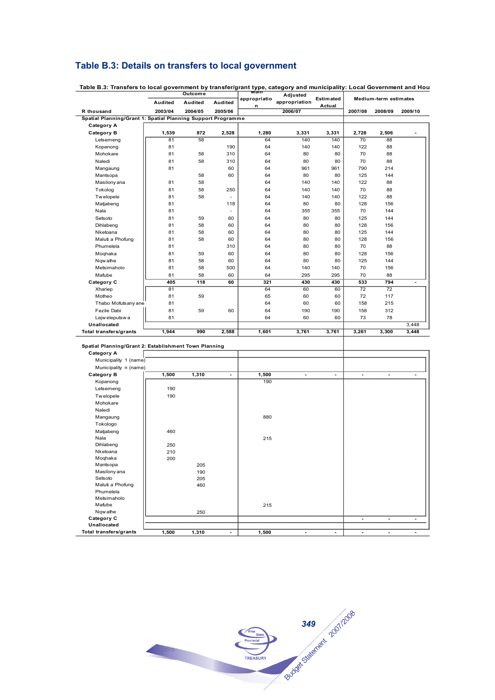## **Table B.3: Details on transfers to local government**

Letsemeng | 190<br>Twelopele | 190

Matjabeng | 460

Dihlabeng | 250 Dihlabeng 250<br>Nketoana 210<br>Moqhaka 200

Mantsopa **205**<br>Masilonyana 190 Masilony ana **190**<br>Setsoto 205 Setsoto 205<br>Maluti a Phofung 205

Nqw athe 250

Mangaung | 880

Nala and a set of the set of the set of the set of the set of the set of the set of the set of the set of the set of the set of the set of the set of the set of the set of the set of the set of the set of the set of the se

Mafube  $||$  215

Total transfers/grants **1,500 1,310** - 1,500

Tw elopele Mohokare Naledi

Tokologo

Moqhaka

**Unallocated**

Maluti a Phofung Phumelela Metsimaholo<br>Mafube

|                                                              | Outcome |         |                | mam               | Adjusted       |                            | Medium-term estimates |                |         |
|--------------------------------------------------------------|---------|---------|----------------|-------------------|----------------|----------------------------|-----------------------|----------------|---------|
|                                                              | Audited | Audited | Audited        | appropriatio<br>n | appropriation  | <b>Estimated</b><br>Actual |                       |                |         |
| R thousand                                                   | 2003/04 | 2004/05 | 2005/06        |                   | 2006/07        |                            | 2007/08               | 2008/09        | 2009/10 |
| Spatial Planning/Grant 1: Spatial Planning Support Programme |         |         |                |                   |                |                            |                       |                |         |
| <b>Category A</b>                                            |         |         |                |                   |                |                            |                       |                |         |
| Category B                                                   | 1,539   | 872     | 2,528          | 1,280             | 3,331          | 3,331                      | 2,728                 | 2,506          | ٠       |
| Letsemeng                                                    | 81      | 58      |                | 64                | 140            | 140                        | 70                    | 88             |         |
| Kopanong                                                     | 81      |         | 190            | 64                | 140            | 140                        | 122                   | 88             |         |
| Mohokare                                                     | 81      | 58      | 310            | 64                | 80             | 80                         | 70                    | 88             |         |
| Naledi                                                       | 81      | 58      | 310            | 64                | 80             | 80                         | 70                    | 88             |         |
| Mangaung                                                     | 81      |         | 60             | 64                | 961            | 961                        | 790                   | 214            |         |
| Mantsopa                                                     |         | 58      | 60             | 64                | 80             | 80                         | 125                   | 144            |         |
| Masilony ana                                                 | 81      | 58      |                | 64                | 140            | 140                        | 122                   | 88             |         |
| Tokolog                                                      | 81      | 58      | 250            | 64                | 140            | 140                        | 70                    | 88             |         |
| Twelopele                                                    | 81      | 58      | ÷,             | 64                | 140            | 140                        | 122                   | 88             |         |
| Matjabeng                                                    | 81      |         | 118            | 64                | 80             | 80                         | 128                   | 156            |         |
| Nala                                                         | 81      |         |                | 64                | 355            | 355                        | 70                    | 144            |         |
| Setsoto                                                      | 81      | 59      | 60             | 64                | 80             | 80                         | 125                   | 144            |         |
| Dihlabeng                                                    | 81      | 58      | 60             | 64                | 80             | 80                         | 128                   | 156            |         |
| Nketoana                                                     | 81      | 58      | 60             | 64                | 80             | 80                         | 125                   | 144            |         |
| Maluti a Phofung                                             | 81      | 58      | 60             | 64                | 80             | 80                         | 128                   | 156            |         |
| Phumelela                                                    | 81      |         | 310            | 64                | 80             | 80                         | 70                    | 88             |         |
| Moqhaka                                                      | 81      | 59      | 60             | 64                | 80             | 80                         | 128                   | 156            |         |
| Ngw athe                                                     | 81      | 58      | 60             | 64                | 80             | 80                         | 125                   | 144            |         |
| Metsimaholo                                                  | 81      | 58      | 500            | 64                | 140            | 140                        | 70                    | 156            |         |
| Mafube                                                       | 81      | 58      | 60             | 64                | 295            | 295                        | 70                    | 88             |         |
| Category C                                                   | 405     | 118     | 60             | 321               | 430            | 430                        | 533                   | 794            |         |
| Xhariep                                                      | 81      |         |                | 64                | 60             | 60                         | 72                    | 72             |         |
| Motheo                                                       | 81      | 59      |                | 65                | 60             | 60                         | 72                    | 117            |         |
| Thabo Mofutsany ane                                          | 81      |         |                | 64                | 60             | 60                         | 158                   | 215            |         |
| Fezile Dabi                                                  | 81      | 59      | 60             | 64                | 190            | 190                        | 158                   | 312            |         |
| Lejw eleputsw a                                              | 81      |         |                | 64                | 60             | 60                         | 73                    | 78             |         |
| Unallocated                                                  |         |         |                |                   |                |                            |                       |                | 3,448   |
| <b>Total transfers/grants</b>                                | 1,944   | 990     | 2,588          | 1,601             | 3,761          | 3,761                      | 3,261                 | 3,300          | 3,448   |
|                                                              |         |         |                |                   |                |                            |                       |                |         |
| Spatial Planning/Grant 2: Establishment Town Planning        |         |         |                |                   |                |                            |                       |                |         |
| <b>Category A</b>                                            |         |         |                |                   |                |                            |                       |                |         |
| Municipality 1 (name)                                        |         |         |                |                   |                |                            |                       |                |         |
| Municipality n (name)                                        |         |         |                |                   |                |                            |                       |                |         |
| <b>Category B</b>                                            | 1,500   | 1,310   | $\overline{a}$ | 1,500             | $\blacksquare$ |                            | ٠                     | $\blacksquare$ |         |
| Kopanong                                                     |         |         |                | 190               |                |                            |                       |                |         |
| Letsemena                                                    | 190     |         |                |                   |                |                            |                       |                |         |

**Table B.3: Transfers to local government by transfer/grant type, category and municipality: Local Government and Hou Outcome Main** 

# **349** 201/2008 TREASURY

**Category C - - -**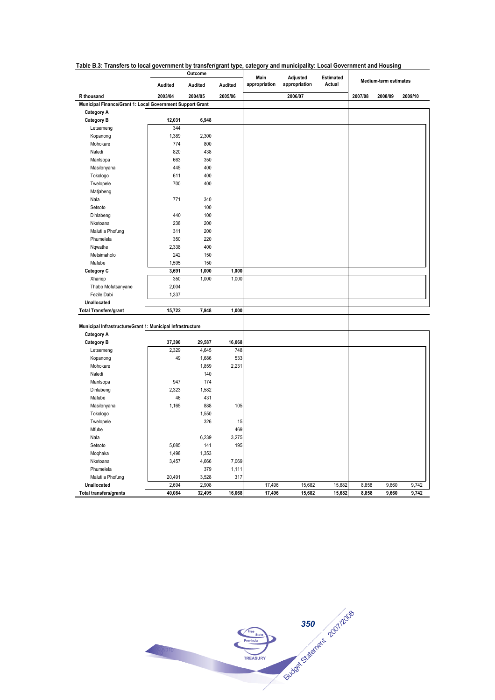|                                                            | Outcome |         | Main    |               |                           |                     |                       |         |         |
|------------------------------------------------------------|---------|---------|---------|---------------|---------------------------|---------------------|-----------------------|---------|---------|
|                                                            | Audited | Audited | Audited | appropriation | Adjusted<br>appropriation | Estimated<br>Actual | Medium-term estimates |         |         |
| R thousand                                                 | 2003/04 | 2004/05 | 2005/06 |               | 2006/07                   |                     | 2007/08               | 2008/09 | 2009/10 |
| Municipal Finance/Grant 1: Local Government Support Grant  |         |         |         |               |                           |                     |                       |         |         |
| <b>Category A</b>                                          |         |         |         |               |                           |                     |                       |         |         |
| <b>Category B</b>                                          | 12,031  | 6,948   |         |               |                           |                     |                       |         |         |
| Letsemeng                                                  | 344     |         |         |               |                           |                     |                       |         |         |
| Kopanong                                                   | 1,389   | 2,300   |         |               |                           |                     |                       |         |         |
| Mohokare                                                   | 774     | 800     |         |               |                           |                     |                       |         |         |
| Naledi                                                     | 820     | 438     |         |               |                           |                     |                       |         |         |
| Mantsopa                                                   | 663     | 350     |         |               |                           |                     |                       |         |         |
| Masilonyana                                                | 445     | 400     |         |               |                           |                     |                       |         |         |
| Tokologo                                                   | 611     | 400     |         |               |                           |                     |                       |         |         |
| Twelopele                                                  | 700     | 400     |         |               |                           |                     |                       |         |         |
| Matjabeng                                                  |         |         |         |               |                           |                     |                       |         |         |
| Nala                                                       | 771     | 340     |         |               |                           |                     |                       |         |         |
| Setsoto                                                    |         | 100     |         |               |                           |                     |                       |         |         |
| Dihlabeng                                                  | 440     | 100     |         |               |                           |                     |                       |         |         |
| Nketoana                                                   | 238     | 200     |         |               |                           |                     |                       |         |         |
| Maluti a Phofung                                           | 311     | 200     |         |               |                           |                     |                       |         |         |
| Phumelela                                                  | 350     | 220     |         |               |                           |                     |                       |         |         |
| Nqwathe                                                    | 2,338   | 400     |         |               |                           |                     |                       |         |         |
| Metsimaholo                                                | 242     | 150     |         |               |                           |                     |                       |         |         |
| Mafube                                                     | 1,595   | 150     |         |               |                           |                     |                       |         |         |
| Category C                                                 | 3,691   | 1,000   | 1,000   |               |                           |                     |                       |         |         |
| Xhariep                                                    | 350     | 1,000   | 1,000   |               |                           |                     |                       |         |         |
| Thabo Mofutsanyane                                         | 2,004   |         |         |               |                           |                     |                       |         |         |
| Fezile Dabi                                                | 1,337   |         |         |               |                           |                     |                       |         |         |
| Unallocated                                                |         |         |         |               |                           |                     |                       |         |         |
| <b>Total Transfers/grant</b>                               | 15,722  | 7,948   | 1,000   |               |                           |                     |                       |         |         |
| Municipal Infrastructure/Grant 1: Municipal Infrastructure |         |         |         |               |                           |                     |                       |         |         |
| <b>Category A</b>                                          |         |         |         |               |                           |                     |                       |         |         |
| <b>Category B</b>                                          | 37,390  | 29,587  | 16,068  |               |                           |                     |                       |         |         |
| Letsemeng                                                  | 2,329   | 4,645   | 748     |               |                           |                     |                       |         |         |
| Kopanong                                                   | 49      | 1,686   | 533     |               |                           |                     |                       |         |         |
| Mohokare                                                   |         | 1,859   | 2,231   |               |                           |                     |                       |         |         |
| Naledi                                                     |         | 140     |         |               |                           |                     |                       |         |         |
| Mantsopa                                                   | 947     | 174     |         |               |                           |                     |                       |         |         |
| Dihlabeng                                                  | 2,323   | 1,582   |         |               |                           |                     |                       |         |         |
| Mafube                                                     | 46      | 431     |         |               |                           |                     |                       |         |         |
| Masilonyana                                                | 1,165   | 888     | 105     |               |                           |                     |                       |         |         |
| Tokologo                                                   |         | 1,550   |         |               |                           |                     |                       |         |         |
| Twelopele                                                  |         | 326     | 15      |               |                           |                     |                       |         |         |
| Mfube                                                      |         |         | 469     |               |                           |                     |                       |         |         |
| Nala                                                       |         | 6,239   | 3,275   |               |                           |                     |                       |         |         |
| Setsoto                                                    | 5,085   | 141     | 195     |               |                           |                     |                       |         |         |
| Moqhaka                                                    | 1,498   | 1,353   |         |               |                           |                     |                       |         |         |
| Nketoana                                                   | 3,457   | 4,666   | 7,069   |               |                           |                     |                       |         |         |
| Phumelela                                                  |         | 379     | 1,111   |               |                           |                     |                       |         |         |
| Maluti a Phofung                                           | 20,491  | 3,528   | 317     |               |                           |                     |                       |         |         |
| Unallocated                                                | 2,694   | 2,908   |         | 17,496        | 15,682                    | 15,682              | 8,858                 | 9,660   | 9,742   |
| <b>Total transfers/grants</b>                              | 40,084  | 32,495  | 16,068  | 17,496        | 15,682                    | 15,682              | 8,858                 | 9,660   | 9,742   |

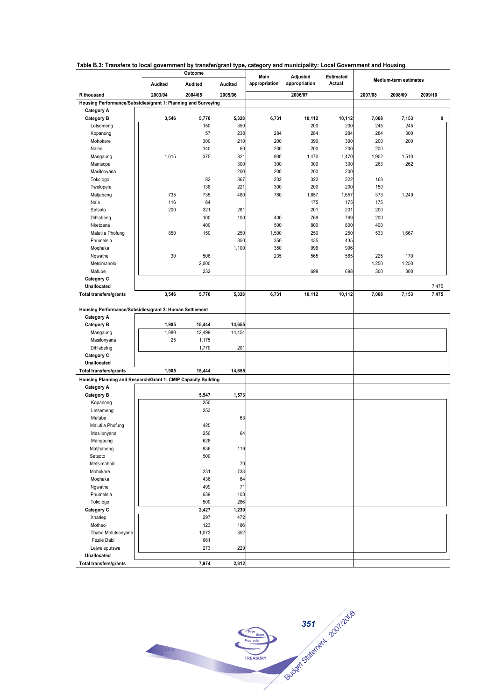|  |  |  |  | Table B.3: Transfers to local government by transfer/grant type, category and municipality: Local Government and Housing |
|--|--|--|--|--------------------------------------------------------------------------------------------------------------------------|
|--|--|--|--|--------------------------------------------------------------------------------------------------------------------------|

|                                                               | Outcome |         |         | Main<br>Adjusted |               | <b>Estimated</b> |         |                       |         |
|---------------------------------------------------------------|---------|---------|---------|------------------|---------------|------------------|---------|-----------------------|---------|
|                                                               | Audited | Audited | Audited | appropriation    | appropriation | Actual           |         | Medium-term estimates |         |
| <b>R</b> thousand                                             | 2003/04 | 2004/05 | 2005/06 |                  | 2006/07       |                  |         |                       | 2009/10 |
| Housing Performance/Subsidies/grant 1: Planning and Surveying |         |         |         |                  |               |                  | 2007/08 | 2008/09               |         |
| <b>Category A</b>                                             |         |         |         |                  |               |                  |         |                       |         |
| <b>Category B</b>                                             | 3,546   | 5,770   | 5,328   | 6,731            | 10,112        | 10,112           | 7,068   | 7,153                 | 0       |
| Letsemeng                                                     |         | 150     | 350     |                  | 200           | 200              | 245     | 245                   |         |
| Kopanong                                                      |         | 57      | 238     | 284              | 284           | 284              | 284     | 300                   |         |
| Mohokare                                                      |         | 300     | 210     | 200              | 390           | 390              | 200     | 200                   |         |
| Naledi                                                        |         | 140     | 60      | 200              | 200           | 200              | 200     |                       |         |
| Mangaung                                                      | 1,615   | 375     | 821     | 900              | 1,470         | 1,470            | 1,902   | 1,510                 |         |
| Mantsopa                                                      |         |         | 300     | 300              | 300           | 300              | 263     | 262                   |         |
| Masilonyana                                                   |         |         | 200     | 200              | 200           | 200              |         |                       |         |
| Tokologo                                                      |         | 82      | 367     | 232              | 322           | 322              | 168     |                       |         |
| Twelopele                                                     |         | 138     | 221     | 300              | 200           | 200              | 150     |                       |         |
| Matjabeng                                                     | 735     | 735     | 480     | 780              | 1,657         | 1,657            | 373     | 1,249                 |         |
| Nala                                                          | 116     | 84      |         |                  | 175           | 175              | 175     |                       |         |
| Setsoto                                                       | 200     | 321     | 281     |                  | 201           | 201              | 200     |                       |         |
| Dihlabeng                                                     |         | 100     | 100     | 400              | 769           | 769              | 200     |                       |         |
| Nketoana                                                      |         | 400     |         | 500              | 800           | 800              | 400     |                       |         |
| Maluti a Phofung                                              | 850     | 150     | 250     | 1,500            | 250           | 250              | 533     | 1,667                 |         |
| Phumelela                                                     |         |         | 350     | 350              | 435           | 435              |         |                       |         |
| Moqhaka                                                       |         |         | 1,100   | 350              | 996           | 996              |         |                       |         |
| Nqwathe                                                       | 30      | 506     |         | 235              | 565           | 565              | 225     | 170                   |         |
| Metsimaholo                                                   |         | 2,000   |         |                  |               |                  | 1,250   | 1,250                 |         |
| Mafube                                                        |         | 232     |         |                  | 698           | 698              | 300     | 300                   |         |
| Category C                                                    |         |         |         |                  |               |                  |         |                       |         |
| Unallocated                                                   |         |         |         |                  |               |                  |         |                       | 7,475   |
| <b>Total transfers/grants</b>                                 | 3,546   | 5,770   | 5,328   | 6,731            | 10,112        | 10,112           | 7,068   | 7,153                 | 7,475   |
|                                                               |         |         |         |                  |               |                  |         |                       |         |
| Housing Performance/Subsidies/grant 2: Human Settlement       |         |         |         |                  |               |                  |         |                       |         |
| <b>Category A</b>                                             |         |         |         |                  |               |                  |         |                       |         |
| <b>Category B</b>                                             | 1,905   | 15,444  | 14,655  |                  |               |                  |         |                       |         |
| Mangaung                                                      | 1,880   | 12,499  | 14,454  |                  |               |                  |         |                       |         |
| Masilonyana                                                   | 25      | 1,175   |         |                  |               |                  |         |                       |         |
| Dihlabefng                                                    |         | 1,770   | 201     |                  |               |                  |         |                       |         |
| Category C                                                    |         |         |         |                  |               |                  |         |                       |         |
| Unallocated                                                   |         |         |         |                  |               |                  |         |                       |         |
| <b>Total transfers/grants</b>                                 | 1,905   | 15,444  | 14,655  |                  |               |                  |         |                       |         |
| Housing Planning and Research/Grant 1: CMIP Capacity Building |         |         |         |                  |               |                  |         |                       |         |
| <b>Category A</b>                                             |         |         |         |                  |               |                  |         |                       |         |
| <b>Category B</b>                                             |         | 5,547   | 1,573   |                  |               |                  |         |                       |         |
| Kopanong                                                      |         | 250     |         |                  |               |                  |         |                       |         |
| Letsemeng                                                     |         | 253     |         |                  |               |                  |         |                       |         |
| Mafube                                                        |         |         | 63      |                  |               |                  |         |                       |         |
| Maluti a Phofung                                              |         | 425     |         |                  |               |                  |         |                       |         |
| Masilonyana                                                   |         | 250     | 64      |                  |               |                  |         |                       |         |
| Mangaung                                                      |         | 628     |         |                  |               |                  |         |                       |         |
| Matjhabeng                                                    |         | 936     | 119     |                  |               |                  |         |                       |         |
| Setsoto                                                       |         | 500     |         |                  |               |                  |         |                       |         |
| Metsimaholo                                                   |         |         | 70      |                  |               |                  |         |                       |         |
| Mohokare                                                      |         | 231     | 733     |                  |               |                  |         |                       |         |
| Moqhaka                                                       |         | 436     | 64      |                  |               |                  |         |                       |         |
| Ngwathe                                                       |         | 499     | 71      |                  |               |                  |         |                       |         |
| Phumelela                                                     |         | 639     | 103     |                  |               |                  |         |                       |         |
| Tokologo                                                      |         | 500     | 286     |                  |               |                  |         |                       |         |
| Category C                                                    |         | 2,427   | 1,239   |                  |               |                  |         |                       |         |
| Xhariep                                                       |         | 297     | 472     |                  |               |                  |         |                       |         |
| Motheo                                                        |         | 123     | 186     |                  |               |                  |         |                       |         |
| Thabo Mofutsanyane                                            |         | 1,073   | 352     |                  |               |                  |         |                       |         |
| Fezile Dabi                                                   |         | 661     |         |                  |               |                  |         |                       |         |
| Lejweleputswa                                                 |         | 273     | 229     |                  |               |                  |         |                       |         |
| Unallocated                                                   |         |         |         |                  |               |                  |         |                       |         |
| <b>Total transfers/grants</b>                                 |         | 7,974   | 2,812   |                  |               |                  |         |                       |         |